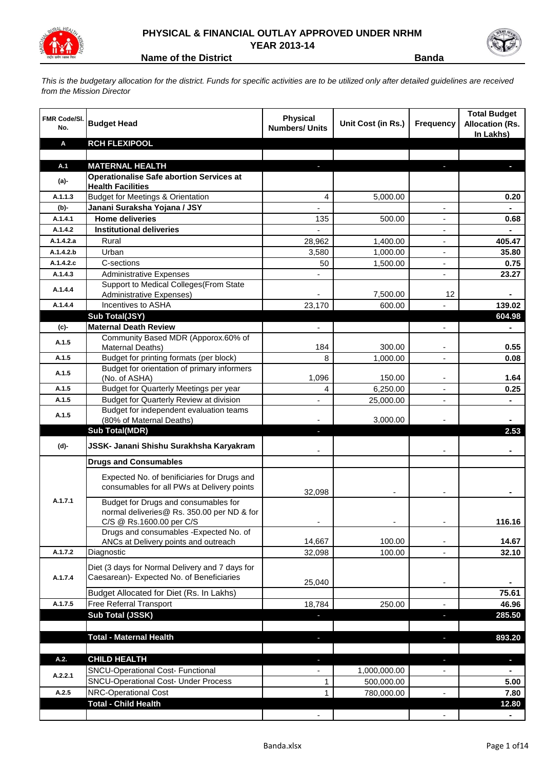

## **PHYSICAL & FINANCIAL OUTLAY APPROVED UNDER NRHM YEAR 2013-14**

**Name of the District Banda** 

*This is the budgetary allocation for the district. Funds for specific activities are to be utilized only after detailed guidelines are received from the Mission Director*

| <b>FMR Code/SI.</b><br>No. | <b>Budget Head</b>                                                                                             | <b>Physical</b><br><b>Numbers/ Units</b> | Unit Cost (in Rs.) | <b>Frequency</b>         | <b>Total Budget</b><br><b>Allocation (Rs.</b><br>In Lakhs) |
|----------------------------|----------------------------------------------------------------------------------------------------------------|------------------------------------------|--------------------|--------------------------|------------------------------------------------------------|
| Α                          | <b>RCH FLEXIPOOL</b>                                                                                           |                                          |                    |                          |                                                            |
| A.1                        | <b>MATERNAL HEALTH</b>                                                                                         |                                          |                    |                          |                                                            |
| (a)-                       | <b>Operationalise Safe abortion Services at</b><br><b>Health Facilities</b>                                    |                                          |                    |                          |                                                            |
| A.1.1.3                    | <b>Budget for Meetings &amp; Orientation</b>                                                                   | 4                                        | 5,000.00           |                          | 0.20                                                       |
| $(b)$ -                    | Janani Suraksha Yojana / JSY                                                                                   |                                          |                    | L.                       |                                                            |
| A.1.4.1                    | <b>Home deliveries</b>                                                                                         | 135                                      | 500.00             | Ξ.                       | 0.68                                                       |
| A.1.4.2                    | <b>Institutional deliveries</b>                                                                                |                                          |                    |                          |                                                            |
| A.1.4.2.a                  | Rural                                                                                                          | 28,962                                   | 1,400.00           |                          | 405.47                                                     |
| A.1.4.2.b                  | Urban                                                                                                          | 3,580                                    | 1,000.00           |                          | 35.80                                                      |
| A.1.4.2.c                  | C-sections                                                                                                     | 50                                       | 1,500.00           | ÷,                       | 0.75                                                       |
| A.1.4.3                    | <b>Administrative Expenses</b>                                                                                 |                                          |                    |                          | 23.27                                                      |
| A.1.4.4                    | Support to Medical Colleges (From State<br><b>Administrative Expenses)</b>                                     |                                          | 7,500.00           | 12                       |                                                            |
| A.1.4.4                    | Incentives to ASHA                                                                                             | 23,170                                   | 600.00             |                          | 139.02                                                     |
|                            | Sub Total(JSY)                                                                                                 |                                          |                    |                          | 604.98                                                     |
| (c)-                       | <b>Maternal Death Review</b>                                                                                   | $\overline{\phantom{a}}$                 |                    | $\overline{\phantom{a}}$ |                                                            |
| A.1.5                      | Community Based MDR (Apporox.60% of<br><b>Maternal Deaths)</b>                                                 | 184                                      | 300.00             |                          | 0.55                                                       |
| A.1.5                      | Budget for printing formats (per block)                                                                        | 8                                        | 1,000.00           |                          | 0.08                                                       |
| A.1.5                      | Budget for orientation of primary informers<br>(No. of ASHA)                                                   | 1,096                                    | 150.00             |                          | 1.64                                                       |
| A.1.5                      | Budget for Quarterly Meetings per year                                                                         | 4                                        | 6,250.00           |                          | 0.25                                                       |
| A.1.5                      | Budget for Quarterly Review at division                                                                        |                                          | 25,000.00          |                          |                                                            |
| A.1.5                      | Budget for independent evaluation teams<br>(80% of Maternal Deaths)                                            |                                          | 3,000.00           |                          |                                                            |
|                            | <b>Sub Total(MDR)</b>                                                                                          | ٠                                        |                    |                          | 2.53                                                       |
| (d)-                       | JSSK- Janani Shishu Surakhsha Karyakram                                                                        |                                          |                    |                          |                                                            |
|                            | <b>Drugs and Consumables</b>                                                                                   |                                          |                    |                          |                                                            |
|                            | Expected No. of benificiaries for Drugs and<br>consumables for all PWs at Delivery points                      | 32,098                                   |                    |                          |                                                            |
| A.1.7.1                    | Budget for Drugs and consumables for<br>normal deliveries@ Rs. 350.00 per ND & for<br>C/S @ Rs.1600.00 per C/S |                                          |                    |                          | 116.16                                                     |
|                            | Drugs and consumables - Expected No. of                                                                        |                                          |                    |                          |                                                            |
|                            | ANCs at Delivery points and outreach                                                                           | 14,667                                   | 100.00             | $\overline{\phantom{a}}$ | 14.67                                                      |
| A.1.7.2                    | Diagnostic                                                                                                     | 32,098                                   | 100.00             | $\blacksquare$           | 32.10                                                      |
| A.1.7.4                    | Diet (3 days for Normal Delivery and 7 days for<br>Caesarean)- Expected No. of Beneficiaries                   | 25,040                                   |                    |                          |                                                            |
|                            | <b>Budget Allocated for Diet (Rs. In Lakhs)</b>                                                                |                                          |                    |                          | 75.61                                                      |
| A.1.7.5                    | Free Referral Transport                                                                                        | 18,784                                   | 250.00             |                          | 46.96                                                      |
|                            | Sub Total (JSSK)                                                                                               |                                          |                    |                          | 285.50                                                     |
|                            |                                                                                                                |                                          |                    |                          |                                                            |
|                            | <b>Total - Maternal Health</b>                                                                                 |                                          |                    |                          | 893.20                                                     |
| A.2.                       | <b>CHILD HEALTH</b>                                                                                            |                                          |                    |                          | $\blacksquare$                                             |
|                            | <b>SNCU-Operational Cost- Functional</b>                                                                       |                                          | 1,000,000.00       |                          |                                                            |
| A.2.2.1                    | <b>SNCU-Operational Cost- Under Process</b>                                                                    | 1                                        | 500,000.00         |                          | 5.00                                                       |
| A.2.5                      | NRC-Operational Cost                                                                                           | 1                                        | 780,000.00         |                          | 7.80                                                       |
|                            | <b>Total - Child Health</b>                                                                                    |                                          |                    |                          | 12.80                                                      |
|                            |                                                                                                                |                                          |                    |                          |                                                            |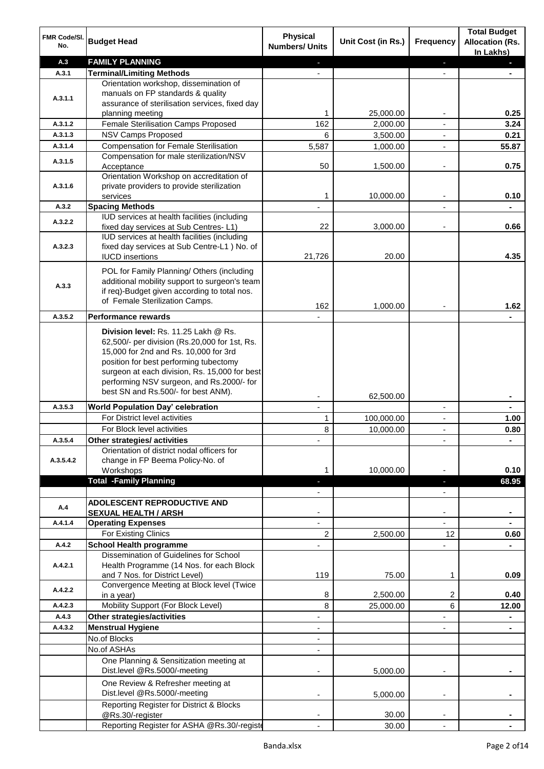| FMR Code/SI.<br>No. | <b>Budget Head</b>                                                                                                                                                                                                                                                                                            | <b>Physical</b><br><b>Numbers/ Units</b> | Unit Cost (in Rs.) | Frequency                | <b>Total Budget</b><br><b>Allocation (Rs.</b><br>In Lakhs) |
|---------------------|---------------------------------------------------------------------------------------------------------------------------------------------------------------------------------------------------------------------------------------------------------------------------------------------------------------|------------------------------------------|--------------------|--------------------------|------------------------------------------------------------|
| A.3                 | <b>FAMILY PLANNING</b>                                                                                                                                                                                                                                                                                        | ٠                                        |                    | ٠                        | o.                                                         |
| A.3.1               | <b>Terminal/Limiting Methods</b>                                                                                                                                                                                                                                                                              |                                          |                    | $\overline{a}$           |                                                            |
| A.3.1.1             | Orientation workshop, dissemination of<br>manuals on FP standards & quality<br>assurance of sterilisation services, fixed day                                                                                                                                                                                 |                                          |                    |                          |                                                            |
|                     | planning meeting                                                                                                                                                                                                                                                                                              | 1                                        | 25,000.00          |                          | 0.25                                                       |
| A.3.1.2             | Female Sterilisation Camps Proposed                                                                                                                                                                                                                                                                           | 162                                      | 2,000.00           |                          | 3.24                                                       |
| A.3.1.3             | <b>NSV Camps Proposed</b>                                                                                                                                                                                                                                                                                     | 6                                        | 3,500.00           |                          | 0.21                                                       |
| A.3.1.4             | <b>Compensation for Female Sterilisation</b>                                                                                                                                                                                                                                                                  | 5,587                                    | 1,000.00           | $\overline{\phantom{a}}$ | 55.87                                                      |
| A.3.1.5             | Compensation for male sterilization/NSV<br>Acceptance<br>Orientation Workshop on accreditation of                                                                                                                                                                                                             | 50                                       | 1,500.00           | ٠                        | 0.75                                                       |
| A.3.1.6             | private providers to provide sterilization<br>services                                                                                                                                                                                                                                                        | 1                                        | 10,000.00          |                          | 0.10                                                       |
| A.3.2               | <b>Spacing Methods</b>                                                                                                                                                                                                                                                                                        |                                          |                    |                          |                                                            |
|                     | IUD services at health facilities (including                                                                                                                                                                                                                                                                  |                                          |                    |                          |                                                            |
| A.3.2.2             | fixed day services at Sub Centres-L1)                                                                                                                                                                                                                                                                         | 22                                       | 3,000.00           |                          | 0.66                                                       |
| A.3.2.3             | IUD services at health facilities (including<br>fixed day services at Sub Centre-L1 ) No. of<br><b>IUCD</b> insertions                                                                                                                                                                                        | 21,726                                   | 20.00              |                          | 4.35                                                       |
| A.3.3               | POL for Family Planning/ Others (including<br>additional mobility support to surgeon's team<br>if req)-Budget given according to total nos.<br>of Female Sterilization Camps.                                                                                                                                 | 162                                      | 1,000.00           |                          | 1.62                                                       |
| A.3.5.2             | <b>Performance rewards</b>                                                                                                                                                                                                                                                                                    |                                          |                    |                          |                                                            |
|                     | Division level: Rs. 11.25 Lakh @ Rs.<br>62,500/- per division (Rs.20,000 for 1st, Rs.<br>15,000 for 2nd and Rs. 10,000 for 3rd<br>position for best performing tubectomy<br>surgeon at each division, Rs. 15,000 for best<br>performing NSV surgeon, and Rs.2000/- for<br>best SN and Rs.500/- for best ANM). |                                          | 62,500.00          |                          | ۰                                                          |
| A.3.5.3             | <b>World Population Day' celebration</b>                                                                                                                                                                                                                                                                      | $\blacksquare$                           |                    | $\overline{\phantom{a}}$ | ۰                                                          |
|                     | For District level activities                                                                                                                                                                                                                                                                                 | 1                                        | 100,000.00         | $\overline{\phantom{a}}$ | 1.00                                                       |
|                     | For Block level activities                                                                                                                                                                                                                                                                                    | 8                                        | 10,000.00          | $\blacksquare$           | 0.80                                                       |
| A.3.5.4             | Other strategies/ activities                                                                                                                                                                                                                                                                                  |                                          |                    |                          |                                                            |
| A.3.5.4.2           | Orientation of district nodal officers for<br>change in FP Beema Policy-No. of<br>Workshops                                                                                                                                                                                                                   | 1                                        | 10,000.00          | ä,                       | ۰<br>0.10                                                  |
|                     | <b>Total -Family Planning</b>                                                                                                                                                                                                                                                                                 |                                          |                    | H,                       | 68.95                                                      |
|                     |                                                                                                                                                                                                                                                                                                               |                                          |                    |                          |                                                            |
| A.4                 | ADOLESCENT REPRODUCTIVE AND                                                                                                                                                                                                                                                                                   |                                          |                    |                          |                                                            |
|                     | <b>SEXUAL HEALTH / ARSH</b>                                                                                                                                                                                                                                                                                   |                                          |                    |                          | ۰                                                          |
| A.4.1.4             | <b>Operating Expenses</b>                                                                                                                                                                                                                                                                                     |                                          |                    | $\overline{a}$           |                                                            |
|                     | For Existing Clinics                                                                                                                                                                                                                                                                                          | 2                                        | 2,500.00           | 12                       | 0.60                                                       |
| A.4.2               | <b>School Health programme</b>                                                                                                                                                                                                                                                                                |                                          |                    |                          |                                                            |
| A.4.2.1             | Dissemination of Guidelines for School<br>Health Programme (14 Nos. for each Block                                                                                                                                                                                                                            |                                          |                    |                          |                                                            |
|                     | and 7 Nos. for District Level)<br>Convergence Meeting at Block level (Twice                                                                                                                                                                                                                                   | 119                                      | 75.00              | 1                        | 0.09                                                       |
| A.4.2.2             | in a year)                                                                                                                                                                                                                                                                                                    | 8                                        | 2,500.00           | 2                        | 0.40                                                       |
| A.4.2.3             | Mobility Support (For Block Level)                                                                                                                                                                                                                                                                            | 8                                        | 25,000.00          | 6                        | 12.00                                                      |
| A.4.3               | <b>Other strategies/activities</b>                                                                                                                                                                                                                                                                            | $\overline{\phantom{0}}$                 |                    | L.                       |                                                            |
| A.4.3.2             | <b>Menstrual Hygiene</b>                                                                                                                                                                                                                                                                                      |                                          |                    |                          |                                                            |
|                     | No.of Blocks                                                                                                                                                                                                                                                                                                  |                                          |                    |                          |                                                            |
|                     | No.of ASHAs                                                                                                                                                                                                                                                                                                   |                                          |                    |                          |                                                            |
|                     | One Planning & Sensitization meeting at<br>Dist.level @Rs.5000/-meeting                                                                                                                                                                                                                                       |                                          | 5,000.00           |                          |                                                            |
|                     | One Review & Refresher meeting at<br>Dist.level @Rs.5000/-meeting                                                                                                                                                                                                                                             |                                          | 5,000.00           |                          |                                                            |
|                     | Reporting Register for District & Blocks<br>@Rs.30/-register                                                                                                                                                                                                                                                  |                                          | 30.00              | ä,                       |                                                            |
|                     | Reporting Register for ASHA @Rs.30/-registe                                                                                                                                                                                                                                                                   |                                          | 30.00              | $\blacksquare$           |                                                            |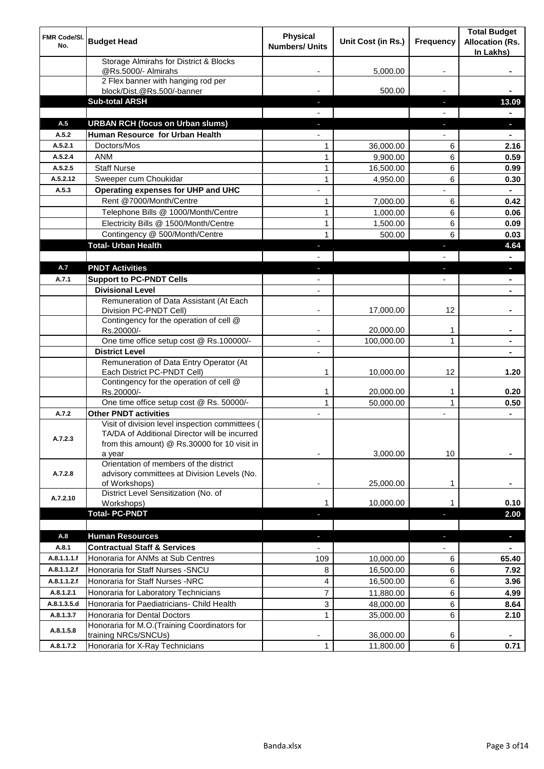| FMR Code/SI.<br>No.        | <b>Budget Head</b>                                                                                                                               | <b>Physical</b><br><b>Numbers/ Units</b> | Unit Cost (in Rs.) | <b>Frequency</b>         | <b>Total Budget</b><br><b>Allocation (Rs.</b><br>In Lakhs) |
|----------------------------|--------------------------------------------------------------------------------------------------------------------------------------------------|------------------------------------------|--------------------|--------------------------|------------------------------------------------------------|
|                            | Storage Almirahs for District & Blocks<br>@Rs.5000/- Almirahs                                                                                    |                                          | 5,000.00           |                          |                                                            |
|                            | 2 Flex banner with hanging rod per<br>block/Dist.@Rs.500/-banner                                                                                 |                                          | 500.00             |                          |                                                            |
|                            | <b>Sub-total ARSH</b>                                                                                                                            |                                          |                    | J,                       | 13.09                                                      |
|                            |                                                                                                                                                  |                                          |                    |                          |                                                            |
| A.5                        | <b>URBAN RCH (focus on Urban slums)</b>                                                                                                          |                                          |                    | J,                       |                                                            |
| A.5.2                      | Human Resource for Urban Health                                                                                                                  |                                          |                    |                          |                                                            |
| A.5.2.1                    | Doctors/Mos                                                                                                                                      | 1                                        | 36,000.00          | 6                        | 2.16                                                       |
| A.5.2.4                    | <b>ANM</b>                                                                                                                                       | $\mathbf{1}$                             | 9,900.00           | 6                        | 0.59                                                       |
| A.5.2.5                    | <b>Staff Nurse</b>                                                                                                                               | $\mathbf{1}$                             | 16,500.00          | 6                        | 0.99                                                       |
| A.5.2.12                   | Sweeper cum Choukidar                                                                                                                            | $\mathbf{1}$                             | 4,950.00           | 6                        | 0.30                                                       |
| A.5.3                      | Operating expenses for UHP and UHC                                                                                                               |                                          |                    |                          |                                                            |
|                            | Rent @7000/Month/Centre                                                                                                                          | 1                                        | 7,000.00           | 6                        | 0.42                                                       |
|                            | Telephone Bills @ 1000/Month/Centre                                                                                                              | $\mathbf{1}$                             | 1,000.00           | 6                        | 0.06                                                       |
|                            | Electricity Bills @ 1500/Month/Centre                                                                                                            | $\mathbf{1}$                             | 1,500.00           | 6                        | 0.09                                                       |
|                            | Contingency @ 500/Month/Centre                                                                                                                   | 1                                        | 500.00             | 6                        | 0.03                                                       |
|                            | <b>Total- Urban Health</b>                                                                                                                       |                                          |                    | T                        | 4.64                                                       |
| A.7                        |                                                                                                                                                  |                                          |                    |                          |                                                            |
|                            | <b>PNDT Activities</b>                                                                                                                           | ÷,                                       |                    | J,                       | $\blacksquare$                                             |
| A.7.1                      | <b>Support to PC-PNDT Cells</b><br><b>Divisional Level</b>                                                                                       |                                          |                    | $\overline{\phantom{0}}$ | $\blacksquare$                                             |
|                            | Remuneration of Data Assistant (At Each                                                                                                          | $\overline{\phantom{a}}$                 |                    |                          | $\blacksquare$                                             |
|                            | Division PC-PNDT Cell)                                                                                                                           |                                          | 17,000.00          | 12                       |                                                            |
|                            | Contingency for the operation of cell @<br>Rs.20000/-                                                                                            |                                          | 20,000.00          | 1                        |                                                            |
|                            | One time office setup cost @ Rs.100000/-                                                                                                         |                                          | 100,000.00         | 1                        |                                                            |
|                            | <b>District Level</b>                                                                                                                            |                                          |                    |                          |                                                            |
|                            | Remuneration of Data Entry Operator (At<br>Each District PC-PNDT Cell)                                                                           | 1                                        | 10,000.00          | 12                       | 1.20                                                       |
|                            | Contingency for the operation of cell @<br>Rs.20000/-                                                                                            | $\mathbf{1}$                             | 20,000.00          | 1                        | 0.20                                                       |
|                            | One time office setup cost @ Rs. 50000/-                                                                                                         | $\mathbf{1}$                             | 50,000.00          | $\mathbf{1}$             | 0.50                                                       |
| A.7.2                      | <b>Other PNDT activities</b>                                                                                                                     |                                          |                    |                          |                                                            |
| A.7.2.3                    | Visit of division level inspection committees (<br>TA/DA of Additional Director will be incurred<br>from this amount) @ Rs.30000 for 10 visit in |                                          |                    |                          |                                                            |
|                            | a year                                                                                                                                           |                                          | 3,000.00           | 10                       |                                                            |
| A.7.2.8                    | Orientation of members of the district<br>advisory committees at Division Levels (No.<br>of Workshops)                                           | ٠                                        | 25,000.00          | 1                        | $\blacksquare$                                             |
| A.7.2.10                   | District Level Sensitization (No. of                                                                                                             |                                          |                    |                          |                                                            |
|                            | Workshops)                                                                                                                                       | 1                                        | 10,000.00          | 1                        | 0.10                                                       |
|                            | <b>Total-PC-PNDT</b>                                                                                                                             |                                          |                    | ı                        | 2.00                                                       |
|                            |                                                                                                                                                  |                                          |                    |                          |                                                            |
| A.8                        | <b>Human Resources</b><br><b>Contractual Staff &amp; Services</b>                                                                                | н                                        |                    | ٠                        | $\blacksquare$                                             |
| A.8.1                      |                                                                                                                                                  | $\overline{\phantom{a}}$                 |                    |                          | $\blacksquare$                                             |
| A.8.1.1.1.f<br>A.8.1.1.2.f | Honoraria for ANMs at Sub Centres<br>Honoraria for Staff Nurses - SNCU                                                                           | 109                                      | 10,000.00          | 6                        | 65.40<br>7.92                                              |
|                            |                                                                                                                                                  | 8                                        | 16,500.00          | 6                        |                                                            |
| A.8.1.1.2.f                | Honoraria for Staff Nurses -NRC                                                                                                                  | 4                                        | 16,500.00          | 6                        | 3.96                                                       |
| A.8.1.2.1                  | Honoraria for Laboratory Technicians                                                                                                             | 7                                        | 11,880.00          | 6                        | 4.99                                                       |
| A.8.1.3.5.d                | Honoraria for Paediatricians- Child Health                                                                                                       | 3                                        | 48,000.00          | 6                        | 8.64                                                       |
| A.8.1.3.7                  | Honoraria for Dental Doctors<br>Honoraria for M.O.(Training Coordinators for                                                                     | $\mathbf{1}$                             | 35,000.00          | 6                        | 2.10                                                       |
| A.8.1.5.8                  | training NRCs/SNCUs)                                                                                                                             |                                          | 36,000.00          | 6                        |                                                            |
| A.8.1.7.2                  | Honoraria for X-Ray Technicians                                                                                                                  | $\mathbf{1}$                             | 11,800.00          | 6                        | 0.71                                                       |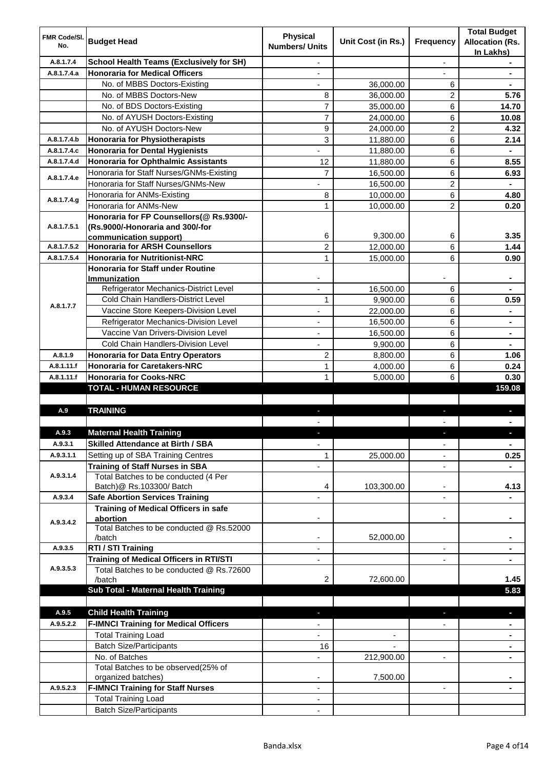| FMR Code/SI.<br>No. | <b>Budget Head</b>                                         | <b>Physical</b><br><b>Numbers/ Units</b> | Unit Cost (in Rs.) | <b>Frequency</b>         | <b>Total Budget</b><br><b>Allocation (Rs.</b><br>In Lakhs) |
|---------------------|------------------------------------------------------------|------------------------------------------|--------------------|--------------------------|------------------------------------------------------------|
| A.8.1.7.4           | <b>School Health Teams (Exclusively for SH)</b>            | $\overline{\phantom{0}}$                 |                    | $\overline{\phantom{a}}$ |                                                            |
| A.8.1.7.4.a         | <b>Honoraria for Medical Officers</b>                      | $\overline{\phantom{0}}$                 |                    |                          |                                                            |
|                     | No. of MBBS Doctors-Existing                               |                                          | 36,000.00          | 6                        | ۰                                                          |
|                     | No. of MBBS Doctors-New                                    | 8                                        | 36,000.00          | 2                        | 5.76                                                       |
|                     | No. of BDS Doctors-Existing                                | 7                                        | 35,000.00          | 6                        | 14.70                                                      |
|                     | No. of AYUSH Doctors-Existing                              | 7                                        | 24,000.00          | 6                        | 10.08                                                      |
|                     | No. of AYUSH Doctors-New                                   | 9                                        | 24,000.00          | 2                        | 4.32                                                       |
| A.8.1.7.4.b         | <b>Honoraria for Physiotherapists</b>                      | 3                                        | 11,880.00          | 6                        | 2.14                                                       |
| A.8.1.7.4.c         | <b>Honoraria for Dental Hygienists</b>                     |                                          | 11,880.00          | 6                        |                                                            |
| A.8.1.7.4.d         | Honoraria for Ophthalmic Assistants                        | 12                                       | 11,880.00          | 6                        | 8.55                                                       |
| A.8.1.7.4.e         | Honoraria for Staff Nurses/GNMs-Existing                   | $\overline{7}$                           | 16,500.00          | 6                        | 6.93                                                       |
|                     | Honoraria for Staff Nurses/GNMs-New                        |                                          | 16,500.00          | 2                        |                                                            |
| A.8.1.7.4.g         | Honoraria for ANMs-Existing                                | 8                                        | 10,000.00          | 6                        | 4.80                                                       |
|                     | Honoraria for ANMs-New                                     | $\mathbf{1}$                             | 10,000.00          | $\overline{c}$           | 0.20                                                       |
|                     | Honoraria for FP Counsellors(@ Rs.9300/-                   |                                          |                    |                          |                                                            |
| A.8.1.7.5.1         | (Rs.9000/-Honoraria and 300/-for<br>communication support) | 6                                        | 9,300.00           | 6                        | 3.35                                                       |
| A.8.1.7.5.2         | <b>Honoraria for ARSH Counsellors</b>                      | $\overline{c}$                           | 12,000.00          | 6                        | 1.44                                                       |
| A.8.1.7.5.4         | <b>Honoraria for Nutritionist-NRC</b>                      | $\mathbf{1}$                             | 15,000.00          | 6                        | 0.90                                                       |
|                     | <b>Honoraria for Staff under Routine</b>                   |                                          |                    |                          |                                                            |
|                     | <b>Immunization</b>                                        |                                          |                    |                          |                                                            |
|                     | Refrigerator Mechanics-District Level                      |                                          | 16,500.00          | 6                        |                                                            |
| A.8.1.7.7           | Cold Chain Handlers-District Level                         | 1                                        | 9,900.00           | 6                        | 0.59                                                       |
|                     | Vaccine Store Keepers-Division Level                       |                                          | 22,000.00          | 6                        |                                                            |
|                     | Refrigerator Mechanics-Division Level                      | $\blacksquare$                           | 16,500.00          | 6                        | $\blacksquare$                                             |
|                     | Vaccine Van Drivers-Division Level                         | ä,                                       | 16,500.00          | 6                        | $\blacksquare$                                             |
|                     | <b>Cold Chain Handlers-Division Level</b>                  |                                          | 9,900.00           | 6                        |                                                            |
| A.8.1.9             | <b>Honoraria for Data Entry Operators</b>                  | 2                                        | 8,800.00           | 6                        | 1.06                                                       |
| A.8.1.11.f          | <b>Honoraria for Caretakers-NRC</b>                        | 1                                        | 4,000.00           | 6                        | 0.24                                                       |
| A.8.1.11.f          | <b>Honoraria for Cooks-NRC</b>                             | 1                                        | 5,000.00           | 6                        | 0.30                                                       |
|                     | <b>TOTAL - HUMAN RESOURCE</b>                              |                                          |                    |                          | 159.08                                                     |
| A.9                 | <b>TRAINING</b>                                            |                                          |                    |                          |                                                            |
|                     |                                                            |                                          |                    |                          |                                                            |
| A.9.3               | <b>Maternal Health Training</b>                            |                                          |                    |                          |                                                            |
| A.9.3.1             | <b>Skilled Attendance at Birth / SBA</b>                   | $\overline{\phantom{a}}$                 |                    | ۰                        | $\blacksquare$                                             |
| A.9.3.1.1           | Setting up of SBA Training Centres                         | 1                                        | 25,000.00          | ۰                        | 0.25                                                       |
|                     | <b>Training of Staff Nurses in SBA</b>                     | ٠                                        |                    | ٠                        | $\blacksquare$                                             |
| A.9.3.1.4           | Total Batches to be conducted (4 Per                       |                                          |                    |                          |                                                            |
|                     | Batch)@ Rs.103300/ Batch                                   | 4                                        | 103,300.00         |                          | 4.13                                                       |
| A.9.3.4             | <b>Safe Abortion Services Training</b>                     |                                          |                    | ٠                        |                                                            |
|                     | <b>Training of Medical Officers in safe</b>                |                                          |                    |                          |                                                            |
| A.9.3.4.2           | abortion                                                   |                                          |                    |                          |                                                            |
|                     | Total Batches to be conducted @ Rs.52000<br>/batch         |                                          | 52,000.00          |                          |                                                            |
| A.9.3.5             | RTI / STI Training                                         | $\overline{\phantom{a}}$                 |                    | $\blacksquare$           |                                                            |
|                     | Training of Medical Officers in RTI/STI                    | $\overline{\phantom{a}}$                 |                    | -                        | ٠                                                          |
| A.9.3.5.3           | Total Batches to be conducted @ Rs.72600                   |                                          |                    |                          |                                                            |
|                     | /batch                                                     | 2                                        | 72,600.00          |                          | 1.45                                                       |
|                     | Sub Total - Maternal Health Training                       |                                          |                    |                          | 5.83                                                       |
|                     |                                                            |                                          |                    |                          |                                                            |
| A.9.5               | <b>Child Health Training</b>                               |                                          |                    |                          | ٠                                                          |
| A.9.5.2.2           | <b>F-IMNCI Training for Medical Officers</b>               |                                          |                    |                          |                                                            |
|                     | <b>Total Training Load</b>                                 |                                          |                    |                          |                                                            |
|                     | <b>Batch Size/Participants</b>                             | 16                                       |                    |                          |                                                            |
|                     | No. of Batches<br>Total Batches to be observed(25% of      |                                          | 212,900.00         | $\overline{\phantom{a}}$ |                                                            |
|                     | organized batches)                                         |                                          | 7,500.00           |                          |                                                            |
| A.9.5.2.3           | <b>F-IMNCI Training for Staff Nurses</b>                   |                                          |                    | $\overline{\phantom{a}}$ |                                                            |
|                     | <b>Total Training Load</b>                                 |                                          |                    |                          |                                                            |
|                     |                                                            |                                          |                    |                          |                                                            |
|                     | <b>Batch Size/Participants</b>                             |                                          |                    |                          |                                                            |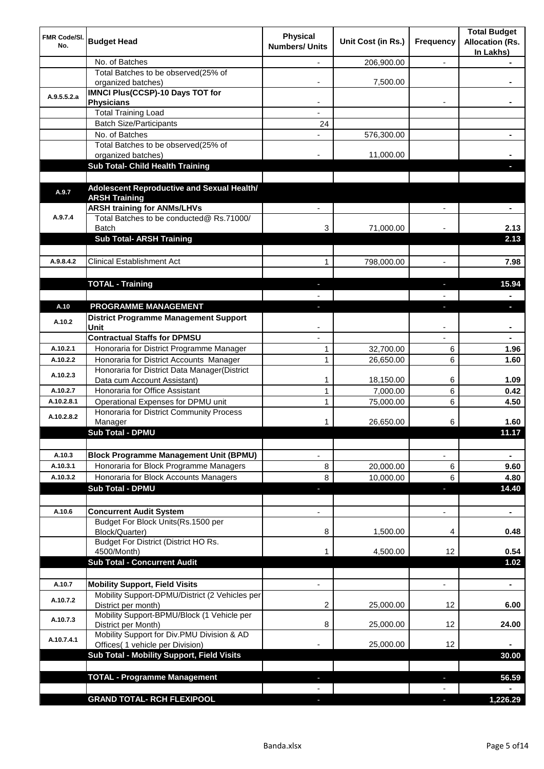| FMR Code/SI.<br>No. | <b>Budget Head</b>                                                                      | <b>Physical</b><br><b>Numbers/ Units</b> | Unit Cost (in Rs.) | <b>Frequency</b>         | <b>Total Budget</b><br><b>Allocation (Rs.</b><br>In Lakhs) |
|---------------------|-----------------------------------------------------------------------------------------|------------------------------------------|--------------------|--------------------------|------------------------------------------------------------|
|                     | No. of Batches                                                                          |                                          | 206,900.00         | $\overline{\phantom{0}}$ |                                                            |
|                     | Total Batches to be observed(25% of<br>organized batches)                               |                                          | 7,500.00           |                          |                                                            |
| A.9.5.5.2.a         | <b>IMNCI Plus(CCSP)-10 Days TOT for</b>                                                 |                                          |                    |                          |                                                            |
|                     | <b>Physicians</b>                                                                       |                                          |                    |                          |                                                            |
|                     | <b>Total Training Load</b>                                                              |                                          |                    |                          |                                                            |
|                     | <b>Batch Size/Participants</b>                                                          | 24                                       |                    |                          |                                                            |
|                     | No. of Batches                                                                          |                                          | 576,300.00         |                          |                                                            |
|                     | Total Batches to be observed(25% of                                                     |                                          | 11,000.00          |                          |                                                            |
|                     | organized batches)<br>Sub Total- Child Health Training                                  |                                          |                    |                          |                                                            |
|                     |                                                                                         |                                          |                    |                          |                                                            |
|                     | Adolescent Reproductive and Sexual Health/                                              |                                          |                    |                          |                                                            |
| A.9.7               | <b>ARSH Training</b>                                                                    |                                          |                    |                          |                                                            |
|                     | <b>ARSH training for ANMs/LHVs</b>                                                      |                                          |                    |                          |                                                            |
| A.9.7.4             | Total Batches to be conducted@ Rs.71000/                                                |                                          |                    |                          |                                                            |
|                     | <b>Batch</b>                                                                            | 3                                        | 71,000.00          |                          | 2.13                                                       |
|                     | <b>Sub Total- ARSH Training</b>                                                         |                                          |                    |                          | 2.13                                                       |
|                     |                                                                                         |                                          |                    |                          |                                                            |
| A.9.8.4.2           | <b>Clinical Establishment Act</b>                                                       | $\mathbf{1}$                             | 798,000.00         |                          | 7.98                                                       |
|                     |                                                                                         |                                          |                    |                          |                                                            |
|                     | <b>TOTAL - Training</b>                                                                 |                                          |                    |                          | 15.94                                                      |
|                     |                                                                                         |                                          |                    |                          |                                                            |
| A.10                | PROGRAMME MANAGEMENT                                                                    |                                          |                    |                          |                                                            |
| A.10.2              | <b>District Programme Management Support</b>                                            |                                          |                    |                          |                                                            |
|                     | Unit                                                                                    |                                          |                    |                          |                                                            |
|                     | <b>Contractual Staffs for DPMSU</b>                                                     |                                          |                    |                          |                                                            |
| A.10.2.1            | Honoraria for District Programme Manager                                                | 1                                        | 32,700.00          | 6                        | 1.96                                                       |
| A.10.2.2            | Honoraria for District Accounts Manager                                                 | $\mathbf{1}$                             | 26,650.00          | 6                        | 1.60                                                       |
| A.10.2.3            | Honoraria for District Data Manager(District                                            |                                          |                    |                          |                                                            |
| A.10.2.7            | Data cum Account Assistant)<br>Honoraria for Office Assistant                           | 1                                        | 18,150.00          | 6                        | 1.09                                                       |
|                     | Operational Expenses for DPMU unit                                                      | $\mathbf{1}$                             | 7,000.00           | 6                        | 0.42                                                       |
| A.10.2.8.1          | Honoraria for District Community Process                                                | $\mathbf{1}$                             | 75,000.00          | 6                        | 4.50                                                       |
| A.10.2.8.2          | Manager                                                                                 |                                          | 26,650.00          | 6                        | 1.60                                                       |
|                     | <b>Sub Total - DPMU</b>                                                                 |                                          |                    |                          | 11.17                                                      |
|                     |                                                                                         |                                          |                    |                          |                                                            |
| A.10.3              | <b>Block Programme Management Unit (BPMU)</b>                                           |                                          |                    | ۰                        | ۰                                                          |
| A.10.3.1            | Honoraria for Block Programme Managers                                                  | 8                                        | 20,000.00          | 6                        | 9.60                                                       |
| A.10.3.2            | Honoraria for Block Accounts Managers                                                   | 8                                        | 10,000.00          | 6                        | 4.80                                                       |
|                     | <b>Sub Total - DPMU</b>                                                                 | J,                                       |                    | ٠                        | 14.40                                                      |
|                     |                                                                                         |                                          |                    |                          |                                                            |
| A.10.6              | <b>Concurrent Audit System</b>                                                          | $\blacksquare$                           |                    | $\blacksquare$           | $\blacksquare$                                             |
|                     | Budget For Block Units(Rs.1500 per                                                      |                                          |                    |                          |                                                            |
|                     | Block/Quarter)                                                                          | 8                                        | 1,500.00           | 4                        | 0.48                                                       |
|                     | Budget For District (District HO Rs.                                                    |                                          |                    |                          |                                                            |
|                     | 4500/Month)                                                                             | 1                                        | 4,500.00           | 12                       | 0.54                                                       |
|                     | <b>Sub Total - Concurrent Audit</b>                                                     |                                          |                    |                          | 1.02                                                       |
|                     |                                                                                         |                                          |                    |                          |                                                            |
| A.10.7              | <b>Mobility Support, Field Visits</b><br>Mobility Support-DPMU/District (2 Vehicles per |                                          |                    | $\blacksquare$           | $\blacksquare$                                             |
| A.10.7.2            | District per month)                                                                     | 2                                        | 25,000.00          | 12                       | 6.00                                                       |
|                     | Mobility Support-BPMU/Block (1 Vehicle per                                              |                                          |                    |                          |                                                            |
| A.10.7.3            | District per Month)                                                                     | 8                                        | 25,000.00          | 12                       | 24.00                                                      |
|                     | Mobility Support for Div.PMU Division & AD                                              |                                          |                    |                          |                                                            |
| A.10.7.4.1          | Offices( 1 vehicle per Division)                                                        |                                          | 25,000.00          | 12                       |                                                            |
|                     | Sub Total - Mobility Support, Field Visits                                              |                                          |                    |                          | 30.00                                                      |
|                     |                                                                                         |                                          |                    |                          |                                                            |
|                     | <b>TOTAL - Programme Management</b>                                                     |                                          |                    |                          | 56.59                                                      |
|                     |                                                                                         |                                          |                    |                          |                                                            |
|                     | <b>GRAND TOTAL- RCH FLEXIPOOL</b>                                                       | $\overline{\phantom{a}}$                 |                    | $\overline{\phantom{a}}$ | 1,226.29                                                   |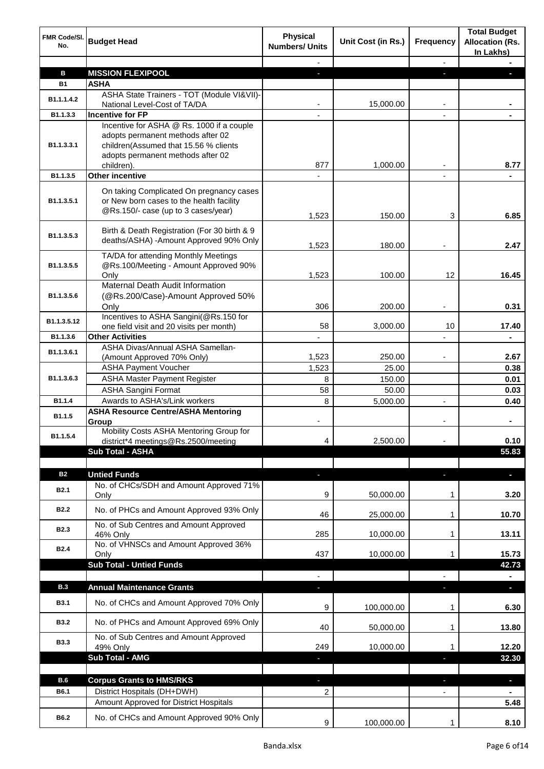| FMR Code/SI.<br>No. | <b>Budget Head</b>                                                                                                                                                         | <b>Physical</b><br><b>Numbers/ Units</b> | Unit Cost (in Rs.) | <b>Frequency</b>         | <b>Total Budget</b><br><b>Allocation (Rs.</b><br>In Lakhs) |
|---------------------|----------------------------------------------------------------------------------------------------------------------------------------------------------------------------|------------------------------------------|--------------------|--------------------------|------------------------------------------------------------|
|                     |                                                                                                                                                                            |                                          |                    | $\blacksquare$           |                                                            |
| в                   | <b>MISSION FLEXIPOOL</b>                                                                                                                                                   | a.                                       |                    | ш                        |                                                            |
| <b>B1</b>           | <b>ASHA</b>                                                                                                                                                                |                                          |                    |                          |                                                            |
| B1.1.1.4.2          | ASHA State Trainers - TOT (Module VI&VII)-<br>National Level-Cost of TA/DA                                                                                                 |                                          | 15,000.00          |                          |                                                            |
| B1.1.3.3            | <b>Incentive for FP</b>                                                                                                                                                    |                                          |                    |                          |                                                            |
| B1.1.3.3.1          | Incentive for ASHA @ Rs. 1000 if a couple<br>adopts permanent methods after 02<br>children(Assumed that 15.56 % clients<br>adopts permanent methods after 02<br>children). | 877                                      | 1,000.00           |                          | 8.77                                                       |
| B1.1.3.5            | <b>Other incentive</b>                                                                                                                                                     |                                          |                    |                          |                                                            |
| B1.1.3.5.1          | On taking Complicated On pregnancy cases<br>or New born cases to the health facility<br>@Rs.150/- case (up to 3 cases/year)                                                | 1,523                                    | 150.00             | 3                        | 6.85                                                       |
| B1.1.3.5.3          | Birth & Death Registration (For 30 birth & 9<br>deaths/ASHA) -Amount Approved 90% Only                                                                                     | 1,523                                    | 180.00             | $\overline{\phantom{a}}$ | 2.47                                                       |
| B1.1.3.5.5          | TA/DA for attending Monthly Meetings<br>@Rs.100/Meeting - Amount Approved 90%<br>Only                                                                                      | 1,523                                    | 100.00             | 12                       | 16.45                                                      |
| B1.1.3.5.6          | Maternal Death Audit Information<br>(@Rs.200/Case)-Amount Approved 50%<br>Only                                                                                             | 306                                      | 200.00             |                          | 0.31                                                       |
| B1.1.3.5.12         | Incentives to ASHA Sangini(@Rs.150 for<br>one field visit and 20 visits per month)                                                                                         | 58                                       | 3,000.00           | 10                       | 17.40                                                      |
| B1.1.3.6            | <b>Other Activities</b>                                                                                                                                                    |                                          |                    |                          |                                                            |
| B1.1.3.6.1          | ASHA Divas/Annual ASHA Samellan-                                                                                                                                           |                                          |                    |                          |                                                            |
|                     | (Amount Approved 70% Only)                                                                                                                                                 | 1,523                                    | 250.00             |                          | 2.67                                                       |
|                     | <b>ASHA Payment Voucher</b>                                                                                                                                                | 1,523                                    | 25.00              |                          | 0.38                                                       |
| B1.1.3.6.3          | <b>ASHA Master Payment Register</b>                                                                                                                                        | 8                                        | 150.00             |                          | 0.01                                                       |
|                     | <b>ASHA Sangini Format</b>                                                                                                                                                 | 58                                       | 50.00              |                          | 0.03                                                       |
| B1.1.4<br>B1.1.5    | Awards to ASHA's/Link workers<br><b>ASHA Resource Centre/ASHA Mentoring</b>                                                                                                | 8                                        | 5,000.00           | $\overline{\phantom{a}}$ | 0.40                                                       |
| B1.1.5.4            | Group<br>Mobility Costs ASHA Mentoring Group for<br>district*4 meetings@Rs.2500/meeting                                                                                    | 4                                        | 2,500.00           |                          | 0.10                                                       |
|                     | Sub Total - ASHA                                                                                                                                                           |                                          |                    |                          | 55.83                                                      |
|                     |                                                                                                                                                                            |                                          |                    |                          |                                                            |
| <b>B2</b>           | <b>Untied Funds</b>                                                                                                                                                        | ٠                                        |                    | a,                       |                                                            |
| <b>B2.1</b>         | No. of CHCs/SDH and Amount Approved 71%                                                                                                                                    | 9                                        | 50,000.00          | 1                        | 3.20                                                       |
| <b>B2.2</b>         | Only<br>No. of PHCs and Amount Approved 93% Only                                                                                                                           | 46                                       | 25,000.00          | 1                        | 10.70                                                      |
| <b>B2.3</b>         | No. of Sub Centres and Amount Approved<br>46% Only                                                                                                                         | 285                                      | 10,000.00          | 1                        | 13.11                                                      |
| <b>B2.4</b>         | No. of VHNSCs and Amount Approved 36%<br>Only                                                                                                                              | 437                                      | 10,000.00          | 1                        | 15.73                                                      |
|                     | <b>Sub Total - Untied Funds</b>                                                                                                                                            |                                          |                    |                          | 42.73                                                      |
|                     |                                                                                                                                                                            | $\overline{\phantom{a}}$                 |                    | $\frac{1}{2}$            |                                                            |
| <b>B.3</b>          | <b>Annual Maintenance Grants</b>                                                                                                                                           | ٠                                        |                    | ٠                        | ٠                                                          |
| <b>B3.1</b>         | No. of CHCs and Amount Approved 70% Only                                                                                                                                   | 9                                        | 100,000.00         | 1                        | 6.30                                                       |
| <b>B3.2</b>         | No. of PHCs and Amount Approved 69% Only                                                                                                                                   | 40                                       | 50,000.00          | 1                        | 13.80                                                      |
| <b>B3.3</b>         | No. of Sub Centres and Amount Approved<br>49% Only                                                                                                                         | 249                                      | 10,000.00          | 1                        | 12.20                                                      |
|                     | Sub Total - AMG                                                                                                                                                            | J,                                       |                    | ı                        | 32.30                                                      |
|                     |                                                                                                                                                                            |                                          |                    |                          |                                                            |
| B.6                 | <b>Corpus Grants to HMS/RKS</b>                                                                                                                                            | ٠                                        |                    | ٠                        | Ξ.                                                         |
| B6.1                | District Hospitals (DH+DWH)                                                                                                                                                | 2                                        |                    | $\blacksquare$           | $\blacksquare$                                             |
|                     | Amount Approved for District Hospitals                                                                                                                                     |                                          |                    |                          | 5.48                                                       |
| B6.2                | No. of CHCs and Amount Approved 90% Only                                                                                                                                   | 9                                        | 100,000.00         | 1                        | 8.10                                                       |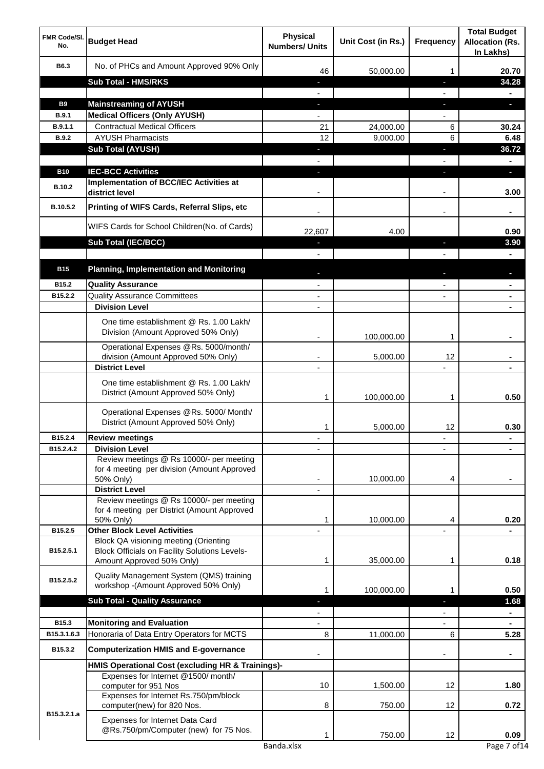| FMR Code/SI.<br>No.  | <b>Budget Head</b>                                                                                   | <b>Physical</b><br><b>Numbers/ Units</b> | Unit Cost (in Rs.) | <b>Frequency</b>         | <b>Total Budget</b><br><b>Allocation (Rs.</b><br>In Lakhs) |
|----------------------|------------------------------------------------------------------------------------------------------|------------------------------------------|--------------------|--------------------------|------------------------------------------------------------|
| B6.3                 | No. of PHCs and Amount Approved 90% Only                                                             | 46                                       | 50,000.00          |                          | 20.70                                                      |
|                      | <b>Sub Total - HMS/RKS</b>                                                                           |                                          |                    |                          | 34.28                                                      |
|                      |                                                                                                      |                                          |                    |                          |                                                            |
| <b>B9</b>            | <b>Mainstreaming of AYUSH</b>                                                                        | l,                                       |                    |                          | o.                                                         |
| <b>B.9.1</b>         | <b>Medical Officers (Only AYUSH)</b>                                                                 |                                          |                    |                          |                                                            |
| B.9.1.1              | <b>Contractual Medical Officers</b>                                                                  | 21                                       | 24,000.00          | 6                        | 30.24                                                      |
| <b>B.9.2</b>         | <b>AYUSH Pharmacists</b>                                                                             | 12                                       | 9,000.00           | 6                        | 6.48                                                       |
|                      | <b>Sub Total (AYUSH)</b>                                                                             | l,                                       |                    | ı                        | 36.72                                                      |
|                      |                                                                                                      | $\overline{\phantom{a}}$                 |                    | $\overline{\phantom{0}}$ |                                                            |
| <b>B10</b><br>B.10.2 | <b>IEC-BCC Activities</b><br>Implementation of BCC/IEC Activities at<br>district level               | J,                                       |                    |                          | o.<br>3.00                                                 |
| B.10.5.2             | Printing of WIFS Cards, Referral Slips, etc                                                          |                                          |                    |                          |                                                            |
|                      | WIFS Cards for School Children(No. of Cards)                                                         | 22,607                                   | 4.00               |                          | 0.90                                                       |
|                      | Sub Total (IEC/BCC)                                                                                  | J,                                       |                    | J.                       | 3.90                                                       |
|                      |                                                                                                      |                                          |                    |                          |                                                            |
| <b>B15</b>           | <b>Planning, Implementation and Monitoring</b>                                                       |                                          |                    |                          |                                                            |
|                      |                                                                                                      |                                          |                    |                          |                                                            |
| B15.2                | <b>Quality Assurance</b>                                                                             |                                          |                    |                          |                                                            |
| B15.2.2              | <b>Quality Assurance Committees</b><br><b>Division Level</b>                                         |                                          |                    |                          |                                                            |
|                      |                                                                                                      |                                          |                    |                          |                                                            |
|                      | One time establishment @ Rs. 1.00 Lakh/<br>Division (Amount Approved 50% Only)                       |                                          | 100,000.00         |                          |                                                            |
|                      | Operational Expenses @Rs. 5000/month/                                                                |                                          |                    |                          |                                                            |
|                      | division (Amount Approved 50% Only)                                                                  |                                          | 5,000.00           | 12                       |                                                            |
|                      | <b>District Level</b>                                                                                |                                          |                    |                          |                                                            |
|                      | One time establishment @ Rs. 1.00 Lakh/<br>District (Amount Approved 50% Only)                       | 1                                        | 100,000.00         |                          | 0.50                                                       |
|                      | Operational Expenses @Rs. 5000/ Month/<br>District (Amount Approved 50% Only)                        | 1                                        | 5,000.00           | 12                       | 0.30                                                       |
| B15.2.4              | <b>Review meetings</b>                                                                               |                                          |                    |                          |                                                            |
| B15.2.4.2            | <b>Division Level</b>                                                                                |                                          |                    |                          |                                                            |
|                      | Review meetings @ Rs 10000/- per meeting<br>for 4 meeting per division (Amount Approved<br>50% Only) |                                          | 10,000.00          | 4                        |                                                            |
|                      | <b>District Level</b>                                                                                |                                          |                    |                          |                                                            |
|                      | Review meetings @ Rs 10000/- per meeting<br>for 4 meeting per District (Amount Approved<br>50% Only) | 1                                        | 10,000.00          | 4                        | 0.20                                                       |
| B15.2.5              | <b>Other Block Level Activities</b><br>Block QA visioning meeting (Orienting                         |                                          |                    |                          |                                                            |
| B15.2.5.1            | <b>Block Officials on Facility Solutions Levels-</b><br>Amount Approved 50% Only)                    | 1                                        | 35,000.00          | 1                        | 0.18                                                       |
| B15.2.5.2            | Quality Management System (QMS) training<br>workshop -(Amount Approved 50% Only)                     |                                          |                    |                          |                                                            |
|                      | <b>Sub Total - Quality Assurance</b>                                                                 | T.                                       | 100,000.00         | r                        | 0.50<br>1.68                                               |
|                      |                                                                                                      |                                          |                    |                          |                                                            |
| B15.3                | <b>Monitoring and Evaluation</b>                                                                     |                                          |                    |                          |                                                            |
| B15.3.1.6.3          | Honoraria of Data Entry Operators for MCTS                                                           | 8                                        | 11,000.00          | 6                        | 5.28                                                       |
| B15.3.2              | <b>Computerization HMIS and E-governance</b>                                                         |                                          |                    |                          |                                                            |
|                      |                                                                                                      |                                          |                    |                          |                                                            |
|                      | HMIS Operational Cost (excluding HR & Trainings)-                                                    |                                          |                    |                          |                                                            |
|                      | Expenses for Internet @1500/month/<br>computer for 951 Nos                                           | 10                                       | 1,500.00           | 12                       | 1.80                                                       |
|                      | Expenses for Internet Rs.750/pm/block<br>computer(new) for 820 Nos.                                  | 8                                        | 750.00             | 12                       | 0.72                                                       |
| B15.3.2.1.a          | Expenses for Internet Data Card                                                                      |                                          |                    |                          |                                                            |
|                      | @Rs.750/pm/Computer (new) for 75 Nos.                                                                | 1                                        | 750.00             | 12                       | 0.09                                                       |
|                      |                                                                                                      | Banda.xlsx                               |                    |                          | Page 7 of 14                                               |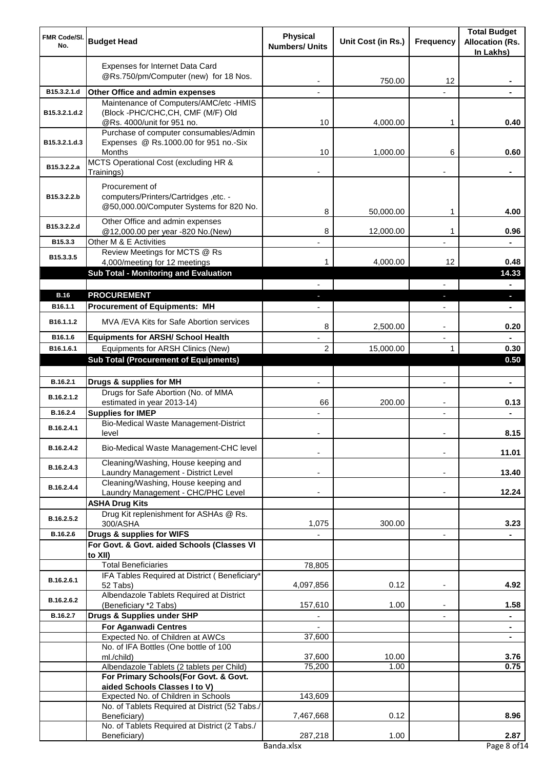| <b>FMR Code/SI.</b><br>No. | <b>Budget Head</b>                                                                                               | <b>Physical</b><br><b>Numbers/ Units</b> | Unit Cost (in Rs.) | Frequency      | <b>Total Budget</b><br><b>Allocation (Rs.</b><br>In Lakhs) |
|----------------------------|------------------------------------------------------------------------------------------------------------------|------------------------------------------|--------------------|----------------|------------------------------------------------------------|
|                            | Expenses for Internet Data Card<br>@Rs.750/pm/Computer (new) for 18 Nos.                                         |                                          | 750.00             | 12             |                                                            |
| B15.3.2.1.d                | Other Office and admin expenses                                                                                  |                                          |                    |                |                                                            |
| B15.3.2.1.d.2              | Maintenance of Computers/AMC/etc -HMIS<br>(Block -PHC/CHC,CH, CMF (M/F) Old                                      | 10                                       |                    |                | 0.40                                                       |
| B15.3.2.1.d.3              | @Rs. 4000/unit for 951 no.<br>Purchase of computer consumables/Admin<br>Expenses @ Rs.1000.00 for 951 no.-Six    |                                          | 4,000.00           | 1              |                                                            |
| B15.3.2.2.a                | Months<br>MCTS Operational Cost (excluding HR &                                                                  | 10                                       | 1,000.00           | 6              | 0.60                                                       |
| B15.3.2.2.b                | Trainings)<br>Procurement of<br>computers/Printers/Cartridges, etc. -<br>@50,000.00/Computer Systems for 820 No. | 8                                        | 50,000.00          | 1              | 4.00                                                       |
| B15.3.2.2.d                | Other Office and admin expenses<br>@12,000.00 per year -820 No.(New)                                             | 8                                        | 12,000.00          | 1              | 0.96                                                       |
| B15.3.3                    | Other M & E Activities                                                                                           | ä,                                       |                    | $\blacksquare$ |                                                            |
| B15.3.3.5                  | Review Meetings for MCTS @ Rs<br>4,000/meeting for 12 meetings<br>Sub Total - Monitoring and Evaluation          | 1                                        | 4,000.00           | 12             | 0.48<br>14.33                                              |
| <b>B.16</b>                | <b>PROCUREMENT</b>                                                                                               | ı                                        |                    | ٠              | o.                                                         |
| B16.1.1                    | <b>Procurement of Equipments: MH</b>                                                                             |                                          |                    |                |                                                            |
| B16.1.1.2                  | MVA /EVA Kits for Safe Abortion services                                                                         | 8                                        | 2,500.00           |                | 0.20                                                       |
| B16.1.6                    | <b>Equipments for ARSH/ School Health</b>                                                                        |                                          |                    |                |                                                            |
| B16.1.6.1                  | Equipments for ARSH Clinics (New)                                                                                | 2                                        | 15,000.00          |                | 0.30                                                       |
|                            | <b>Sub Total (Procurement of Equipments)</b>                                                                     |                                          |                    |                | 0.50                                                       |
| B.16.2.1                   | Drugs & supplies for MH                                                                                          |                                          |                    |                |                                                            |
| B.16.2.1.2                 | Drugs for Safe Abortion (No. of MMA<br>estimated in year 2013-14)                                                | 66                                       | 200.00             |                | 0.13                                                       |
| B.16.2.4                   | <b>Supplies for IMEP</b>                                                                                         |                                          |                    |                |                                                            |
| B.16.2.4.1                 | Bio-Medical Waste Management-District<br>level                                                                   |                                          |                    |                | 8.15                                                       |
| B.16.2.4.2                 | Bio-Medical Waste Management-CHC level                                                                           |                                          |                    |                | 11.01                                                      |
| B.16.2.4.3                 | Cleaning/Washing, House keeping and<br>Laundry Management - District Level                                       |                                          |                    |                | 13.40                                                      |
| B.16.2.4.4                 | Cleaning/Washing, House keeping and<br>Laundry Management - CHC/PHC Level                                        |                                          |                    |                | 12.24                                                      |
| B.16.2.5.2                 | <b>ASHA Drug Kits</b><br>Drug Kit replenishment for ASHAs @ Rs.<br>300/ASHA                                      | 1,075                                    | 300.00             |                | 3.23                                                       |
| B.16.2.6                   | Drugs & supplies for WIFS                                                                                        |                                          |                    |                |                                                            |
|                            | For Govt. & Govt. aided Schools (Classes VI<br>to XII)                                                           |                                          |                    |                |                                                            |
|                            | <b>Total Beneficiaries</b>                                                                                       | 78,805                                   |                    |                |                                                            |
| B.16.2.6.1                 | IFA Tables Required at District (Beneficiary*<br>52 Tabs)                                                        | 4,097,856                                | 0.12               |                | 4.92                                                       |
| B.16.2.6.2                 | Albendazole Tablets Required at District<br>(Beneficiary *2 Tabs)                                                | 157,610                                  | 1.00               |                | 1.58                                                       |
| B.16.2.7                   | Drugs & Supplies under SHP                                                                                       |                                          |                    |                |                                                            |
|                            | <b>For Aganwadi Centres</b>                                                                                      |                                          |                    |                |                                                            |
|                            | Expected No. of Children at AWCs                                                                                 | 37,600                                   |                    |                |                                                            |
|                            | No. of IFA Bottles (One bottle of 100<br>ml./child)                                                              | 37,600                                   | 10.00              |                | 3.76                                                       |
|                            | Albendazole Tablets (2 tablets per Child)<br>For Primary Schools(For Govt. & Govt.                               | 75,200                                   | 1.00               |                | 0.75                                                       |
|                            | aided Schools Classes I to V)                                                                                    |                                          |                    |                |                                                            |
|                            | Expected No. of Children in Schools                                                                              | 143,609                                  |                    |                |                                                            |
|                            | No. of Tablets Required at District (52 Tabs./<br>Beneficiary)<br>No. of Tablets Required at District (2 Tabs./  | 7,467,668                                | 0.12               |                | 8.96                                                       |
|                            | Beneficiary)                                                                                                     | 287,218                                  | 1.00               |                | 2.87                                                       |
|                            |                                                                                                                  | Banda.xlsx                               |                    |                | Page 8 of 14                                               |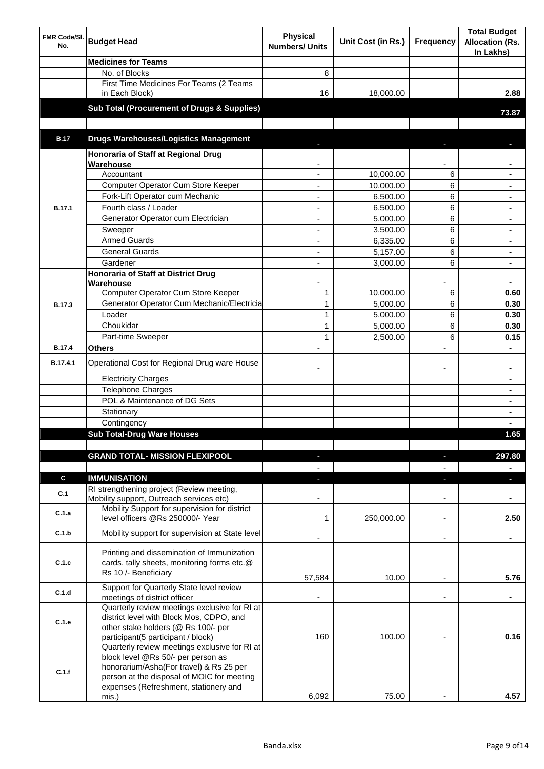| FMR Code/SI.<br>No. | <b>Budget Head</b>                                                                                                                                                                                                             | <b>Physical</b><br><b>Numbers/ Units</b> | Unit Cost (in Rs.) | <b>Frequency</b> | <b>Total Budget</b><br><b>Allocation (Rs.</b><br>In Lakhs) |
|---------------------|--------------------------------------------------------------------------------------------------------------------------------------------------------------------------------------------------------------------------------|------------------------------------------|--------------------|------------------|------------------------------------------------------------|
|                     | <b>Medicines for Teams</b>                                                                                                                                                                                                     |                                          |                    |                  |                                                            |
|                     | No. of Blocks                                                                                                                                                                                                                  | 8                                        |                    |                  |                                                            |
|                     | First Time Medicines For Teams (2 Teams<br>in Each Block)                                                                                                                                                                      | 16                                       | 18,000.00          |                  | 2.88                                                       |
|                     | <b>Sub Total (Procurement of Drugs &amp; Supplies)</b>                                                                                                                                                                         |                                          |                    |                  | 73.87                                                      |
|                     |                                                                                                                                                                                                                                |                                          |                    |                  |                                                            |
|                     |                                                                                                                                                                                                                                |                                          |                    |                  |                                                            |
| <b>B.17</b>         | <b>Drugs Warehouses/Logistics Management</b>                                                                                                                                                                                   |                                          |                    |                  |                                                            |
|                     | Honoraria of Staff at Regional Drug<br>Warehouse                                                                                                                                                                               |                                          |                    |                  |                                                            |
|                     | Accountant                                                                                                                                                                                                                     |                                          | 10,000.00          | 6                |                                                            |
|                     | Computer Operator Cum Store Keeper                                                                                                                                                                                             |                                          | 10,000.00          | 6                |                                                            |
|                     | Fork-Lift Operator cum Mechanic                                                                                                                                                                                                |                                          | 6,500.00           | 6                |                                                            |
| <b>B.17.1</b>       | Fourth class / Loader                                                                                                                                                                                                          |                                          | 6,500.00           | 6                |                                                            |
|                     | Generator Operator cum Electrician                                                                                                                                                                                             |                                          | 5,000.00           | 6                |                                                            |
|                     | Sweeper                                                                                                                                                                                                                        |                                          | 3,500.00           | 6                |                                                            |
|                     | <b>Armed Guards</b>                                                                                                                                                                                                            |                                          | 6,335.00           | 6                |                                                            |
|                     | <b>General Guards</b>                                                                                                                                                                                                          |                                          | 5,157.00           | 6                |                                                            |
|                     | Gardener                                                                                                                                                                                                                       |                                          | 3,000.00           | 6                |                                                            |
|                     | Honoraria of Staff at District Drug<br>Warehouse                                                                                                                                                                               |                                          |                    |                  | ۰                                                          |
|                     | Computer Operator Cum Store Keeper                                                                                                                                                                                             | $\mathbf{1}$                             | 10,000.00          | 6                | 0.60                                                       |
| B.17.3              | Generator Operator Cum Mechanic/Electricia                                                                                                                                                                                     | 1                                        | 5,000.00           | 6                | 0.30                                                       |
|                     | Loader                                                                                                                                                                                                                         | 1                                        | 5,000.00           | 6                | 0.30                                                       |
|                     | Choukidar                                                                                                                                                                                                                      | 1                                        | 5,000.00           | 6                | 0.30                                                       |
|                     | Part-time Sweeper                                                                                                                                                                                                              | 1                                        | 2,500.00           | 6                | 0.15                                                       |
| <b>B.17.4</b>       | <b>Others</b>                                                                                                                                                                                                                  |                                          |                    |                  |                                                            |
| B.17.4.1            | Operational Cost for Regional Drug ware House                                                                                                                                                                                  |                                          |                    |                  |                                                            |
|                     | <b>Electricity Charges</b>                                                                                                                                                                                                     |                                          |                    |                  | ۰                                                          |
|                     | <b>Telephone Charges</b>                                                                                                                                                                                                       |                                          |                    |                  |                                                            |
|                     | POL & Maintenance of DG Sets                                                                                                                                                                                                   |                                          |                    |                  | $\blacksquare$                                             |
|                     | Stationary                                                                                                                                                                                                                     |                                          |                    |                  | $\blacksquare$                                             |
|                     | Contingency                                                                                                                                                                                                                    |                                          |                    |                  |                                                            |
|                     | <b>Sub Total-Drug Ware Houses</b>                                                                                                                                                                                              |                                          |                    |                  | 1.65                                                       |
|                     | <b>GRAND TOTAL- MISSION FLEXIPOOL</b>                                                                                                                                                                                          | ٠                                        |                    | ٠                | 297.80                                                     |
|                     |                                                                                                                                                                                                                                |                                          |                    |                  |                                                            |
| C                   | <b>IMMUNISATION</b>                                                                                                                                                                                                            | a.                                       |                    | ÷.               | a.                                                         |
| C.1                 | RI strengthening project (Review meeting,<br>Mobility support, Outreach services etc)                                                                                                                                          |                                          |                    | ä,               |                                                            |
| C.1.a               | Mobility Support for supervision for district<br>level officers @Rs 250000/- Year                                                                                                                                              | $\mathbf{1}$                             | 250,000.00         |                  | 2.50                                                       |
| C.1.b               | Mobility support for supervision at State level                                                                                                                                                                                |                                          |                    |                  |                                                            |
| C.1.c               | Printing and dissemination of Immunization<br>cards, tally sheets, monitoring forms etc.@<br>Rs 10 /- Beneficiary                                                                                                              | 57,584                                   | 10.00              | ٠                | 5.76                                                       |
| C.1.d               | Support for Quarterly State level review<br>meetings of district officer                                                                                                                                                       |                                          |                    |                  |                                                            |
| C.1.e               | Quarterly review meetings exclusive for RI at<br>district level with Block Mos, CDPO, and<br>other stake holders (@ Rs 100/- per<br>participant(5 participant / block)                                                         | 160                                      | 100.00             |                  | 0.16                                                       |
| C.1.f               | Quarterly review meetings exclusive for RI at<br>block level @Rs 50/- per person as<br>honorarium/Asha(For travel) & Rs 25 per<br>person at the disposal of MOIC for meeting<br>expenses (Refreshment, stationery and<br>mis.) | 6,092                                    | 75.00              |                  | 4.57                                                       |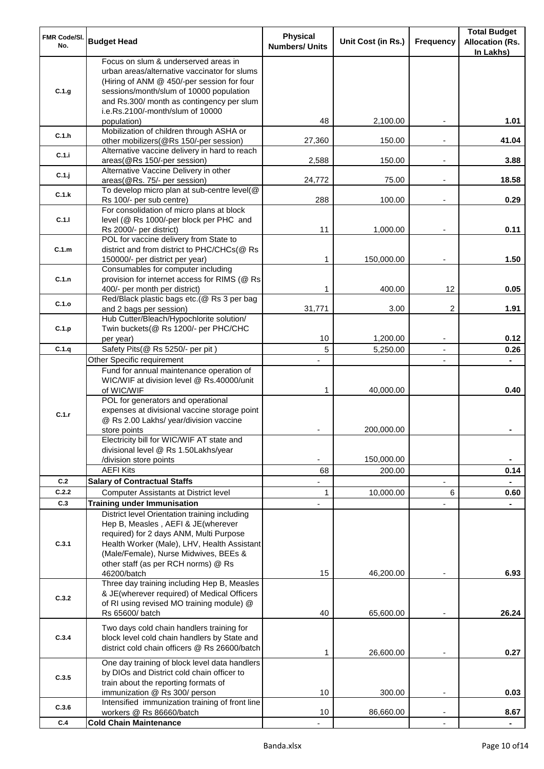| FMR Code/SI.<br>No.                                                                                                                      | <b>Budget Head</b>                                                                          | <b>Physical</b><br><b>Numbers/ Units</b> | Unit Cost (in Rs.) | <b>Frequency</b>         | <b>Total Budget</b><br><b>Allocation (Rs.</b><br>In Lakhs) |
|------------------------------------------------------------------------------------------------------------------------------------------|---------------------------------------------------------------------------------------------|------------------------------------------|--------------------|--------------------------|------------------------------------------------------------|
|                                                                                                                                          | Focus on slum & underserved areas in                                                        |                                          |                    |                          |                                                            |
|                                                                                                                                          | urban areas/alternative vaccinator for slums<br>(Hiring of ANM @ 450/-per session for four  |                                          |                    |                          |                                                            |
|                                                                                                                                          | sessions/month/slum of 10000 population                                                     |                                          |                    |                          |                                                            |
| C.1.g<br>C.1.h<br>C.1.i<br>C.1.j<br>C.1.k<br>C.1.1<br>C.1.m<br>C.1.n<br>C.1.o<br>C.1.p<br>C.1.q<br>C.1.r<br>C.2<br>C.2.2<br>C.3<br>C.3.1 | and Rs.300/ month as contingency per slum                                                   |                                          |                    |                          |                                                            |
|                                                                                                                                          | i.e.Rs.2100/-month/slum of 10000                                                            |                                          |                    |                          |                                                            |
|                                                                                                                                          | population)                                                                                 | 48                                       | 2,100.00           |                          | 1.01                                                       |
|                                                                                                                                          | Mobilization of children through ASHA or<br>other mobilizers(@Rs 150/-per session)          | 27,360                                   | 150.00             |                          | 41.04                                                      |
|                                                                                                                                          | Alternative vaccine delivery in hard to reach                                               |                                          |                    |                          |                                                            |
|                                                                                                                                          | areas(@Rs 150/-per session)                                                                 | 2,588                                    | 150.00             | $\overline{\phantom{a}}$ | 3.88                                                       |
|                                                                                                                                          | Alternative Vaccine Delivery in other                                                       |                                          |                    |                          |                                                            |
|                                                                                                                                          | areas(@Rs. 75/- per session)                                                                | 24,772                                   | 75.00              | $\overline{\phantom{a}}$ | 18.58                                                      |
|                                                                                                                                          | To develop micro plan at sub-centre level(@<br>Rs 100/- per sub centre)                     | 288                                      | 100.00             |                          | 0.29                                                       |
|                                                                                                                                          | For consolidation of micro plans at block                                                   |                                          |                    |                          |                                                            |
|                                                                                                                                          | level (@ Rs 1000/-per block per PHC and                                                     |                                          |                    |                          |                                                            |
|                                                                                                                                          | Rs 2000/- per district)                                                                     | 11                                       | 1,000.00           |                          | 0.11                                                       |
|                                                                                                                                          | POL for vaccine delivery from State to                                                      |                                          |                    |                          |                                                            |
|                                                                                                                                          | district and from district to PHC/CHCs(@ Rs                                                 |                                          |                    |                          |                                                            |
|                                                                                                                                          | 150000/- per district per year)<br>Consumables for computer including                       | 1                                        | 150,000.00         |                          | 1.50                                                       |
|                                                                                                                                          | provision for internet access for RIMS (@ Rs                                                |                                          |                    |                          |                                                            |
|                                                                                                                                          | 400/- per month per district)                                                               | 1                                        | 400.00             | 12                       | 0.05                                                       |
|                                                                                                                                          | Red/Black plastic bags etc.(@ Rs 3 per bag                                                  |                                          |                    |                          |                                                            |
|                                                                                                                                          | and 2 bags per session)                                                                     | 31,771                                   | 3.00               | 2                        | 1.91                                                       |
|                                                                                                                                          | Hub Cutter/Bleach/Hypochlorite solution/                                                    |                                          |                    |                          |                                                            |
|                                                                                                                                          | Twin buckets(@ Rs 1200/- per PHC/CHC                                                        |                                          |                    |                          |                                                            |
|                                                                                                                                          | per year)<br>Safety Pits(@ Rs 5250/- per pit)                                               | 10<br>5                                  | 1,200.00           | $\overline{\phantom{m}}$ | 0.12<br>0.26                                               |
|                                                                                                                                          | Other Specific requirement                                                                  |                                          | 5,250.00           | $\overline{\phantom{a}}$ |                                                            |
|                                                                                                                                          | Fund for annual maintenance operation of                                                    |                                          |                    |                          |                                                            |
|                                                                                                                                          | WIC/WIF at division level @ Rs.40000/unit                                                   |                                          |                    |                          |                                                            |
|                                                                                                                                          | of WIC/WIF                                                                                  | $\mathbf{1}$                             | 40,000.00          |                          | 0.40                                                       |
|                                                                                                                                          | POL for generators and operational                                                          |                                          |                    |                          |                                                            |
|                                                                                                                                          | expenses at divisional vaccine storage point                                                |                                          |                    |                          |                                                            |
|                                                                                                                                          | @ Rs 2.00 Lakhs/ year/division vaccine                                                      |                                          |                    |                          |                                                            |
|                                                                                                                                          | store points<br>Electricity bill for WIC/WIF AT state and                                   |                                          | 200,000.00         |                          |                                                            |
|                                                                                                                                          | divisional level @ Rs 1.50Lakhs/year                                                        |                                          |                    |                          |                                                            |
|                                                                                                                                          | /division store points                                                                      |                                          | 150,000.00         |                          |                                                            |
|                                                                                                                                          | <b>AEFI Kits</b>                                                                            | 68                                       | 200.00             |                          | 0.14                                                       |
|                                                                                                                                          | <b>Salary of Contractual Staffs</b>                                                         |                                          |                    |                          |                                                            |
|                                                                                                                                          | <b>Computer Assistants at District level</b>                                                | $\mathbf{1}$                             | 10,000.00          | 6                        | 0.60                                                       |
|                                                                                                                                          | <b>Training under Immunisation</b>                                                          |                                          |                    |                          |                                                            |
|                                                                                                                                          | District level Orientation training including                                               |                                          |                    |                          |                                                            |
|                                                                                                                                          | Hep B, Measles, AEFI & JE(wherever<br>required) for 2 days ANM, Multi Purpose               |                                          |                    |                          |                                                            |
|                                                                                                                                          | Health Worker (Male), LHV, Health Assistant                                                 |                                          |                    |                          |                                                            |
|                                                                                                                                          | (Male/Female), Nurse Midwives, BEEs &                                                       |                                          |                    |                          |                                                            |
|                                                                                                                                          | other staff (as per RCH norms) @ Rs                                                         |                                          |                    |                          |                                                            |
|                                                                                                                                          | 46200/batch                                                                                 | 15                                       | 46,200.00          |                          | 6.93                                                       |
|                                                                                                                                          | Three day training including Hep B, Measles                                                 |                                          |                    |                          |                                                            |
| C.3.2                                                                                                                                    | & JE(wherever required) of Medical Officers<br>of RI using revised MO training module) @    |                                          |                    |                          |                                                            |
|                                                                                                                                          | Rs 65600/ batch                                                                             | 40                                       | 65,600.00          |                          | 26.24                                                      |
|                                                                                                                                          |                                                                                             |                                          |                    |                          |                                                            |
| C.3.4                                                                                                                                    | Two days cold chain handlers training for<br>block level cold chain handlers by State and   |                                          |                    |                          |                                                            |
|                                                                                                                                          | district cold chain officers @ Rs 26600/batch                                               |                                          |                    |                          |                                                            |
|                                                                                                                                          |                                                                                             | 1                                        | 26,600.00          |                          | 0.27                                                       |
|                                                                                                                                          | One day training of block level data handlers<br>by DIOs and District cold chain officer to |                                          |                    |                          |                                                            |
| C.3.5                                                                                                                                    | train about the reporting formats of                                                        |                                          |                    |                          |                                                            |
|                                                                                                                                          | immunization @ Rs 300/ person                                                               | 10                                       | 300.00             | $\overline{a}$           | 0.03                                                       |
| C.3.6                                                                                                                                    | Intensified immunization training of front line                                             |                                          |                    |                          |                                                            |
|                                                                                                                                          | workers @ Rs 86660/batch                                                                    | 10                                       | 86,660.00          |                          | 8.67                                                       |
| C.4                                                                                                                                      | <b>Cold Chain Maintenance</b>                                                               |                                          |                    |                          |                                                            |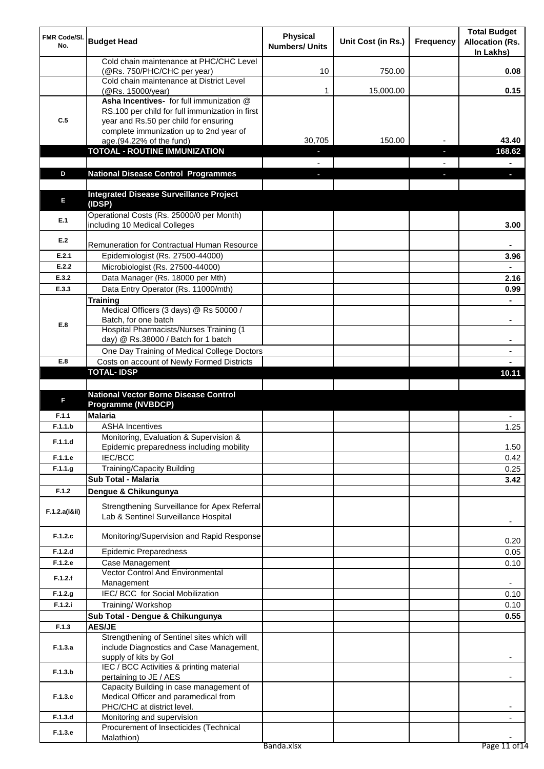| FMR Code/SI.<br>No. | <b>Budget Head</b>                                                                     | <b>Physical</b><br><b>Numbers/ Units</b> | Unit Cost (in Rs.) | <b>Frequency</b> | <b>Total Budget</b><br><b>Allocation (Rs.</b><br>In Lakhs) |
|---------------------|----------------------------------------------------------------------------------------|------------------------------------------|--------------------|------------------|------------------------------------------------------------|
|                     | Cold chain maintenance at PHC/CHC Level<br>(@Rs. 750/PHC/CHC per year)                 | 10                                       | 750.00             |                  | 0.08                                                       |
|                     | Cold chain maintenance at District Level                                               |                                          |                    |                  |                                                            |
|                     | (@Rs. 15000/year)<br>Asha Incentives- for full immunization @                          | 1                                        | 15,000.00          |                  | 0.15                                                       |
|                     | RS.100 per child for full immunization in first                                        |                                          |                    |                  |                                                            |
| C.5                 | year and Rs.50 per child for ensuring                                                  |                                          |                    |                  |                                                            |
|                     | complete immunization up to 2nd year of                                                |                                          |                    |                  |                                                            |
|                     | age.(94.22% of the fund)<br><b>TOTOAL - ROUTINE IMMUNIZATION</b>                       | 30,705                                   | 150.00             |                  | 43.40<br>168.62                                            |
|                     |                                                                                        |                                          |                    |                  |                                                            |
| D                   | <b>National Disease Control Programmes</b>                                             |                                          |                    |                  |                                                            |
|                     |                                                                                        |                                          |                    |                  |                                                            |
| E                   | <b>Integrated Disease Surveillance Project</b><br>(IDSP)                               |                                          |                    |                  |                                                            |
| E.1                 | Operational Costs (Rs. 25000/0 per Month)                                              |                                          |                    |                  |                                                            |
|                     | including 10 Medical Colleges                                                          |                                          |                    |                  | 3.00                                                       |
| E.2                 | <b>Remuneration for Contractual Human Resource</b>                                     |                                          |                    |                  |                                                            |
| E.2.1               | Epidemiologist (Rs. 27500-44000)                                                       |                                          |                    |                  | 3.96                                                       |
| E.2.2               | Microbiologist (Rs. 27500-44000)                                                       |                                          |                    |                  |                                                            |
| E.3.2               | Data Manager (Rs. 18000 per Mth)                                                       |                                          |                    |                  | 2.16                                                       |
| E.3.3               | Data Entry Operator (Rs. 11000/mth)                                                    |                                          |                    |                  | 0.99                                                       |
|                     | <b>Training</b>                                                                        |                                          |                    |                  |                                                            |
|                     | Medical Officers (3 days) @ Rs 50000 /                                                 |                                          |                    |                  |                                                            |
| E.8                 | Batch, for one batch<br>Hospital Pharmacists/Nurses Training (1                        |                                          |                    |                  |                                                            |
|                     | day) @ Rs.38000 / Batch for 1 batch                                                    |                                          |                    |                  |                                                            |
|                     | One Day Training of Medical College Doctors                                            |                                          |                    |                  |                                                            |
| E.8                 | Costs on account of Newly Formed Districts                                             |                                          |                    |                  |                                                            |
|                     | <b>TOTAL-IDSP</b>                                                                      |                                          |                    |                  | 10.11                                                      |
|                     |                                                                                        |                                          |                    |                  |                                                            |
| F                   | <b>National Vector Borne Disease Control</b><br><b>Programme (NVBDCP)</b>              |                                          |                    |                  |                                                            |
| F.1.1               | <b>Malaria</b>                                                                         |                                          |                    |                  |                                                            |
| F.1.1.b             | <b>ASHA Incentives</b>                                                                 |                                          |                    |                  | 1.25                                                       |
| F.1.1.d             | Monitoring, Evaluation & Supervision &                                                 |                                          |                    |                  |                                                            |
|                     | Epidemic preparedness including mobility                                               |                                          |                    |                  | 1.50                                                       |
| F.1.1.e             | <b>IEC/BCC</b>                                                                         |                                          |                    |                  | 0.42                                                       |
| F.1.1.g             | Training/Capacity Building<br>Sub Total - Malaria                                      |                                          |                    |                  | 0.25<br>3.42                                               |
| F.1.2               | Dengue & Chikungunya                                                                   |                                          |                    |                  |                                                            |
|                     |                                                                                        |                                          |                    |                  |                                                            |
| F.1.2.a(iⅈ)         | Strengthening Surveillance for Apex Referral<br>Lab & Sentinel Surveillance Hospital   |                                          |                    |                  | ٠                                                          |
| F.1.2.c             | Monitoring/Supervision and Rapid Response                                              |                                          |                    |                  | 0.20                                                       |
| F.1.2.d             | <b>Epidemic Preparedness</b>                                                           |                                          |                    |                  | 0.05                                                       |
| F.1.2.e             | Case Management<br><b>Vector Control And Environmental</b>                             |                                          |                    |                  | 0.10                                                       |
| F.1.2.f             | Management                                                                             |                                          |                    |                  |                                                            |
| F.1.2.g             | IEC/ BCC for Social Mobilization                                                       |                                          |                    |                  | 0.10                                                       |
| F.1.2.i             | Training/Workshop                                                                      |                                          |                    |                  | 0.10                                                       |
|                     | Sub Total - Dengue & Chikungunya                                                       |                                          |                    |                  | 0.55                                                       |
| F.1.3               | <b>AES/JE</b>                                                                          |                                          |                    |                  |                                                            |
| F.1.3.a             | Strengthening of Sentinel sites which will<br>include Diagnostics and Case Management, |                                          |                    |                  |                                                            |
| F.1.3.b             | supply of kits by Gol<br>IEC / BCC Activities & printing material                      |                                          |                    |                  |                                                            |
|                     | pertaining to JE / AES<br>Capacity Building in case management of                      |                                          |                    |                  |                                                            |
| F.1.3.c             | Medical Officer and paramedical from                                                   |                                          |                    |                  |                                                            |
|                     | PHC/CHC at district level.                                                             |                                          |                    |                  |                                                            |
| F.1.3.d             | Monitoring and supervision                                                             |                                          |                    |                  |                                                            |
| F.1.3.e             | Procurement of Insecticides (Technical                                                 |                                          |                    |                  |                                                            |
|                     | Malathion)                                                                             | Banda.xlsx                               |                    |                  | Page 11 of 14                                              |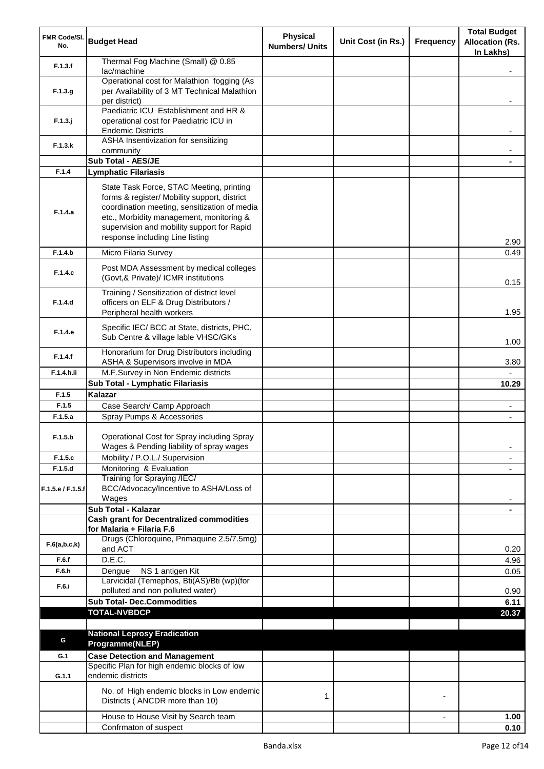| FMR Code/SI.<br>No. | <b>Budget Head</b>                                                                                                                                                                                                                                                    | <b>Physical</b><br><b>Numbers/ Units</b> | Unit Cost (in Rs.) | <b>Frequency</b> | <b>Total Budget</b><br><b>Allocation (Rs.</b><br>In Lakhs) |
|---------------------|-----------------------------------------------------------------------------------------------------------------------------------------------------------------------------------------------------------------------------------------------------------------------|------------------------------------------|--------------------|------------------|------------------------------------------------------------|
| F.1.3.f             | Thermal Fog Machine (Small) @ 0.85<br>lac/machine                                                                                                                                                                                                                     |                                          |                    |                  |                                                            |
|                     | Operational cost for Malathion fogging (As                                                                                                                                                                                                                            |                                          |                    |                  |                                                            |
| F.1.3.g             | per Availability of 3 MT Technical Malathion<br>per district)                                                                                                                                                                                                         |                                          |                    |                  |                                                            |
|                     | Paediatric ICU Establishment and HR &                                                                                                                                                                                                                                 |                                          |                    |                  |                                                            |
| $F.1.3.$ j          | operational cost for Paediatric ICU in                                                                                                                                                                                                                                |                                          |                    |                  |                                                            |
|                     | <b>Endemic Districts</b><br>ASHA Insentivization for sensitizing                                                                                                                                                                                                      |                                          |                    |                  |                                                            |
| F.1.3.k             | community                                                                                                                                                                                                                                                             |                                          |                    |                  |                                                            |
|                     | Sub Total - AES/JE                                                                                                                                                                                                                                                    |                                          |                    |                  |                                                            |
| F.1.4               | <b>Lymphatic Filariasis</b>                                                                                                                                                                                                                                           |                                          |                    |                  |                                                            |
| F.1.4.a             | State Task Force, STAC Meeting, printing<br>forms & register/ Mobility support, district<br>coordination meeting, sensitization of media<br>etc., Morbidity management, monitoring &<br>supervision and mobility support for Rapid<br>response including Line listing |                                          |                    |                  | 2.90                                                       |
| F.1.4.b             | Micro Filaria Survey                                                                                                                                                                                                                                                  |                                          |                    |                  | 0.49                                                       |
| F.1.4.c             | Post MDA Assessment by medical colleges<br>(Govt,& Private)/ ICMR institutions                                                                                                                                                                                        |                                          |                    |                  | 0.15                                                       |
|                     | Training / Sensitization of district level                                                                                                                                                                                                                            |                                          |                    |                  |                                                            |
| F.1.4.d             | officers on ELF & Drug Distributors /<br>Peripheral health workers                                                                                                                                                                                                    |                                          |                    |                  | 1.95                                                       |
| F.1.4.e             | Specific IEC/ BCC at State, districts, PHC,<br>Sub Centre & village lable VHSC/GKs                                                                                                                                                                                    |                                          |                    |                  | 1.00                                                       |
| F.1.4.f             | Honorarium for Drug Distributors including<br>ASHA & Supervisors involve in MDA                                                                                                                                                                                       |                                          |                    |                  | 3.80                                                       |
| F.1.4.h.ii          | M.F.Survey in Non Endemic districts                                                                                                                                                                                                                                   |                                          |                    |                  |                                                            |
|                     | Sub Total - Lymphatic Filariasis                                                                                                                                                                                                                                      |                                          |                    |                  | 10.29                                                      |
| F.1.5               | Kalazar                                                                                                                                                                                                                                                               |                                          |                    |                  |                                                            |
| F.1.5               | Case Search/ Camp Approach                                                                                                                                                                                                                                            |                                          |                    |                  |                                                            |
| F.1.5.a             | Spray Pumps & Accessories                                                                                                                                                                                                                                             |                                          |                    |                  |                                                            |
| F.1.5.b             | Operational Cost for Spray including Spray<br>Wages & Pending liability of spray wages                                                                                                                                                                                |                                          |                    |                  | $\overline{a}$                                             |
| F.1.5.c             | Mobility / P.O.L./ Supervision                                                                                                                                                                                                                                        |                                          |                    |                  |                                                            |
| F.1.5.d             | Monitoring & Evaluation                                                                                                                                                                                                                                               |                                          |                    |                  |                                                            |
| F.1.5.e / F.1.5.f   | Training for Spraying /IEC/<br>BCC/Advocacy/Incentive to ASHA/Loss of<br>Wages                                                                                                                                                                                        |                                          |                    |                  |                                                            |
|                     | Sub Total - Kalazar                                                                                                                                                                                                                                                   |                                          |                    |                  |                                                            |
|                     | <b>Cash grant for Decentralized commodities</b><br>for Malaria + Filaria F.6                                                                                                                                                                                          |                                          |                    |                  |                                                            |
| F.6(a,b,c,k)        | Drugs (Chloroquine, Primaquine 2.5/7.5mg)<br>and ACT                                                                                                                                                                                                                  |                                          |                    |                  | 0.20                                                       |
| F.6.f               | D.E.C.                                                                                                                                                                                                                                                                |                                          |                    |                  | 4.96                                                       |
| F.6.h               | NS 1 antigen Kit<br>Dengue                                                                                                                                                                                                                                            |                                          |                    |                  | 0.05                                                       |
| F.6.i               | Larvicidal (Temephos, Bti(AS)/Bti (wp)(for                                                                                                                                                                                                                            |                                          |                    |                  |                                                            |
|                     | polluted and non polluted water)<br><b>Sub Total- Dec.Commodities</b>                                                                                                                                                                                                 |                                          |                    |                  | 0.90<br>6.11                                               |
|                     | <b>TOTAL-NVBDCP</b>                                                                                                                                                                                                                                                   |                                          |                    |                  | 20.37                                                      |
|                     |                                                                                                                                                                                                                                                                       |                                          |                    |                  |                                                            |
| G                   | <b>National Leprosy Eradication</b><br>Programme(NLEP)                                                                                                                                                                                                                |                                          |                    |                  |                                                            |
| G.1                 | <b>Case Detection and Management</b>                                                                                                                                                                                                                                  |                                          |                    |                  |                                                            |
| G.1.1               | Specific Plan for high endemic blocks of low<br>endemic districts                                                                                                                                                                                                     |                                          |                    |                  |                                                            |
|                     | No. of High endemic blocks in Low endemic<br>Districts (ANCDR more than 10)                                                                                                                                                                                           | 1                                        |                    |                  |                                                            |
|                     | House to House Visit by Search team                                                                                                                                                                                                                                   |                                          |                    |                  | 1.00                                                       |
|                     | Confrmaton of suspect                                                                                                                                                                                                                                                 |                                          |                    |                  | 0.10                                                       |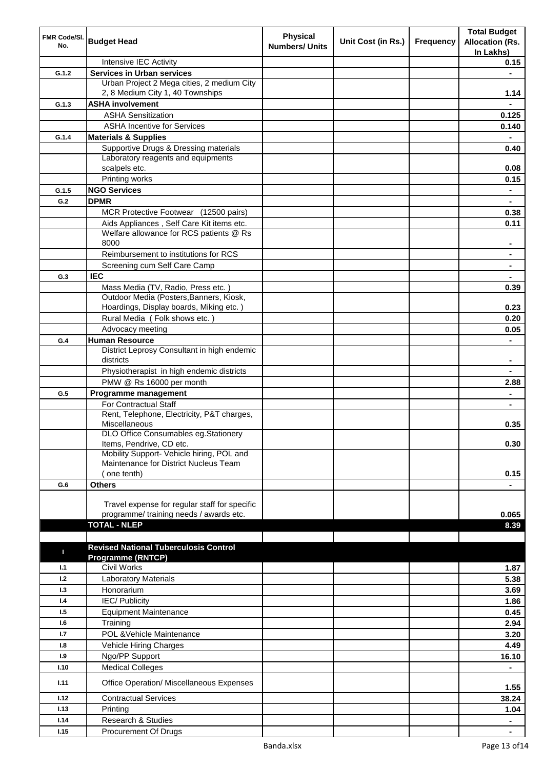| FMR Code/SI.<br>No. | <b>Budget Head</b>                                                              | <b>Physical</b><br><b>Numbers/ Units</b> | Unit Cost (in Rs.) | Frequency | <b>Total Budget</b>    |
|---------------------|---------------------------------------------------------------------------------|------------------------------------------|--------------------|-----------|------------------------|
|                     |                                                                                 |                                          |                    |           | <b>Allocation (Rs.</b> |
|                     |                                                                                 |                                          |                    |           | In Lakhs)              |
|                     | Intensive IEC Activity                                                          |                                          |                    |           | 0.15                   |
| G.1.2               | <b>Services in Urban services</b><br>Urban Project 2 Mega cities, 2 medium City |                                          |                    |           | $\blacksquare$         |
|                     | 2, 8 Medium City 1, 40 Townships                                                |                                          |                    |           | 1.14                   |
| G.1.3               | <b>ASHA involvement</b>                                                         |                                          |                    |           |                        |
|                     | <b>ASHA Sensitization</b>                                                       |                                          |                    |           | 0.125                  |
|                     | <b>ASHA Incentive for Services</b>                                              |                                          |                    |           | 0.140                  |
| G.1.4               | <b>Materials &amp; Supplies</b>                                                 |                                          |                    |           |                        |
|                     | Supportive Drugs & Dressing materials                                           |                                          |                    |           | 0.40                   |
|                     | Laboratory reagents and equipments                                              |                                          |                    |           |                        |
|                     | scalpels etc.                                                                   |                                          |                    |           | 0.08                   |
|                     | Printing works                                                                  |                                          |                    |           | 0.15                   |
| G.1.5               | <b>NGO Services</b>                                                             |                                          |                    |           | ۰                      |
| G.2                 | <b>DPMR</b>                                                                     |                                          |                    |           |                        |
|                     | MCR Protective Footwear (12500 pairs)                                           |                                          |                    |           | 0.38                   |
|                     | Aids Appliances, Self Care Kit items etc.                                       |                                          |                    |           | 0.11                   |
|                     | Welfare allowance for RCS patients @ Rs                                         |                                          |                    |           |                        |
|                     | 8000                                                                            |                                          |                    |           | $\blacksquare$         |
|                     | Reimbursement to institutions for RCS                                           |                                          |                    |           | $\blacksquare$         |
|                     | Screening cum Self Care Camp                                                    |                                          |                    |           |                        |
| G.3                 | <b>IEC</b>                                                                      |                                          |                    |           |                        |
|                     | Mass Media (TV, Radio, Press etc.)<br>Outdoor Media (Posters, Banners, Kiosk,   |                                          |                    |           | 0.39                   |
|                     | Hoardings, Display boards, Miking etc.)                                         |                                          |                    |           | 0.23                   |
|                     | Rural Media (Folk shows etc.)                                                   |                                          |                    |           | 0.20                   |
|                     | Advocacy meeting                                                                |                                          |                    |           | 0.05                   |
| G.4                 | <b>Human Resource</b>                                                           |                                          |                    |           |                        |
|                     | District Leprosy Consultant in high endemic                                     |                                          |                    |           |                        |
|                     | districts                                                                       |                                          |                    |           |                        |
|                     | Physiotherapist in high endemic districts                                       |                                          |                    |           |                        |
|                     | PMW @ Rs 16000 per month                                                        |                                          |                    |           | 2.88                   |
| G.5                 | Programme management                                                            |                                          |                    |           |                        |
|                     | <b>For Contractual Staff</b>                                                    |                                          |                    |           |                        |
|                     | Rent, Telephone, Electricity, P&T charges,<br>Miscellaneous                     |                                          |                    |           |                        |
|                     | <b>DLO Office Consumables eg.Stationery</b>                                     |                                          |                    |           | 0.35                   |
|                     | Items, Pendrive, CD etc.                                                        |                                          |                    |           | 0.30                   |
|                     | Mobility Support- Vehicle hiring, POL and                                       |                                          |                    |           |                        |
|                     | Maintenance for District Nucleus Team                                           |                                          |                    |           |                        |
|                     | (one tenth)                                                                     |                                          |                    |           | 0.15                   |
| G.6                 | <b>Others</b>                                                                   |                                          |                    |           |                        |
|                     | Travel expense for regular staff for specific                                   |                                          |                    |           |                        |
|                     | programme/ training needs / awards etc.                                         |                                          |                    |           | 0.065                  |
|                     | <b>TOTAL - NLEP</b>                                                             |                                          |                    |           | 8.39                   |
|                     |                                                                                 |                                          |                    |           |                        |
|                     | <b>Revised National Tuberculosis Control</b>                                    |                                          |                    |           |                        |
| $\blacksquare$      | <b>Programme (RNTCP)</b>                                                        |                                          |                    |           |                        |
| 1.1                 | <b>Civil Works</b>                                                              |                                          |                    |           | 1.87                   |
| 1.2                 | <b>Laboratory Materials</b>                                                     |                                          |                    |           | 5.38                   |
| 1.3                 | Honorarium                                                                      |                                          |                    |           | 3.69                   |
| 1.4                 | <b>IEC/Publicity</b>                                                            |                                          |                    |           | 1.86                   |
| 1.5                 | <b>Equipment Maintenance</b>                                                    |                                          |                    |           | 0.45                   |
| 1.6                 | Training                                                                        |                                          |                    |           | 2.94                   |
| 1.7                 | POL & Vehicle Maintenance                                                       |                                          |                    |           | 3.20                   |
| 1.8                 | Vehicle Hiring Charges                                                          |                                          |                    |           | 4.49                   |
| 1.9                 | Ngo/PP Support                                                                  |                                          |                    |           | 16.10                  |
| 1.10                | <b>Medical Colleges</b>                                                         |                                          |                    |           |                        |
| 1.11                | Office Operation/ Miscellaneous Expenses                                        |                                          |                    |           |                        |
| 1.12                | <b>Contractual Services</b>                                                     |                                          |                    |           | 1.55<br>38.24          |
| 1.13                | Printing                                                                        |                                          |                    |           | 1.04                   |
| 1.14                | Research & Studies                                                              |                                          |                    |           |                        |
| 1.15                | Procurement Of Drugs                                                            |                                          |                    |           |                        |